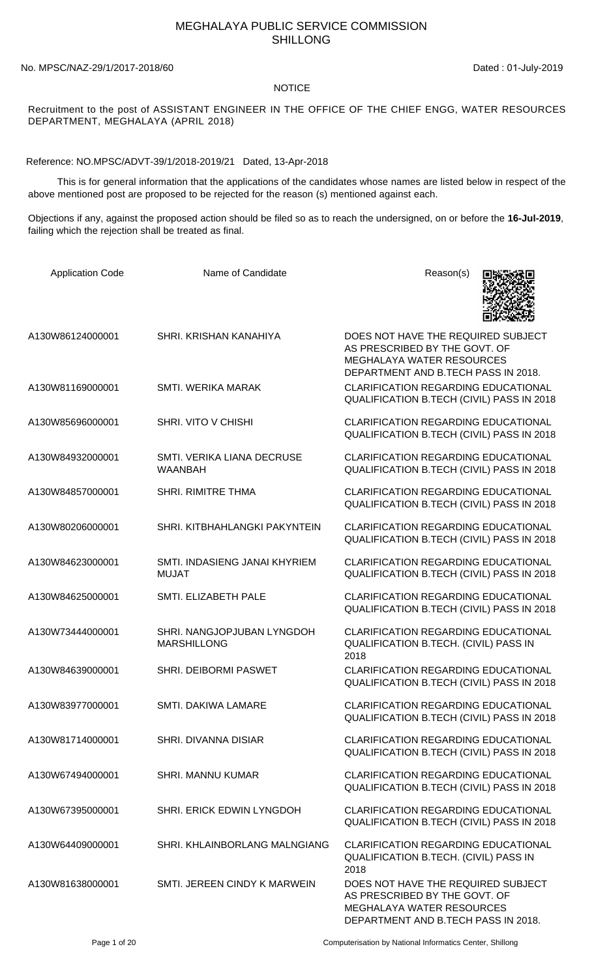# MEGHALAYA PUBLIC SERVICE COMMISSION SHILLONG

#### No. MPSC/NAZ-29/1/2017-2018/60 Dated : 01-July-2019

#### NOTICE

Recruitment to the post of ASSISTANT ENGINEER IN THE OFFICE OF THE CHIEF ENGG, WATER RESOURCES DEPARTMENT, MEGHALAYA (APRIL 2018)

Reference: NO.MPSC/ADVT-39/1/2018-2019/21 Dated, 13-Apr-2018

 This is for general information that the applications of the candidates whose names are listed below in respect of the above mentioned post are proposed to be rejected for the reason (s) mentioned against each.

Objections if any, against the proposed action should be filed so as to reach the undersigned, on or before the **16-Jul-2019**, failing which the rejection shall be treated as final.

| <b>Application Code</b> | Name of Candidate                                | Reason(s)                                                                                                                                      |
|-------------------------|--------------------------------------------------|------------------------------------------------------------------------------------------------------------------------------------------------|
| A130W86124000001        | SHRI, KRISHAN KANAHIYA                           | DOES NOT HAVE THE REQUIRED SUBJECT<br>AS PRESCRIBED BY THE GOVT. OF<br><b>MEGHALAYA WATER RESOURCES</b><br>DEPARTMENT AND B.TECH PASS IN 2018. |
| A130W81169000001        | <b>SMTI. WERIKA MARAK</b>                        | <b>CLARIFICATION REGARDING EDUCATIONAL</b><br><b>QUALIFICATION B.TECH (CIVIL) PASS IN 2018</b>                                                 |
| A130W85696000001        | SHRI. VITO V CHISHI                              | <b>CLARIFICATION REGARDING EDUCATIONAL</b><br>QUALIFICATION B.TECH (CIVIL) PASS IN 2018                                                        |
| A130W84932000001        | SMTI. VERIKA LIANA DECRUSE<br><b>WAANBAH</b>     | <b>CLARIFICATION REGARDING EDUCATIONAL</b><br>QUALIFICATION B.TECH (CIVIL) PASS IN 2018                                                        |
| A130W84857000001        | <b>SHRI. RIMITRE THMA</b>                        | <b>CLARIFICATION REGARDING EDUCATIONAL</b><br>QUALIFICATION B.TECH (CIVIL) PASS IN 2018                                                        |
| A130W80206000001        | SHRI. KITBHAHLANGKI PAKYNTEIN                    | <b>CLARIFICATION REGARDING EDUCATIONAL</b><br>QUALIFICATION B.TECH (CIVIL) PASS IN 2018                                                        |
| A130W84623000001        | SMTI. INDASIENG JANAI KHYRIEM<br><b>MUJAT</b>    | <b>CLARIFICATION REGARDING EDUCATIONAL</b><br>QUALIFICATION B.TECH (CIVIL) PASS IN 2018                                                        |
| A130W84625000001        | SMTI. ELIZABETH PALE                             | <b>CLARIFICATION REGARDING EDUCATIONAL</b><br>QUALIFICATION B.TECH (CIVIL) PASS IN 2018                                                        |
| A130W73444000001        | SHRI. NANGJOPJUBAN LYNGDOH<br><b>MARSHILLONG</b> | <b>CLARIFICATION REGARDING EDUCATIONAL</b><br>QUALIFICATION B.TECH. (CIVIL) PASS IN<br>2018                                                    |
| A130W84639000001        | <b>SHRI. DEIBORMI PASWET</b>                     | <b>CLARIFICATION REGARDING EDUCATIONAL</b><br><b>QUALIFICATION B.TECH (CIVIL) PASS IN 2018</b>                                                 |
| A130W83977000001        | SMTI. DAKIWA LAMARE                              | <b>CLARIFICATION REGARDING EDUCATIONAL</b><br>QUALIFICATION B.TECH (CIVIL) PASS IN 2018                                                        |
| A130W81714000001        | SHRI, DIVANNA DISIAR                             | <b>CLARIFICATION REGARDING EDUCATIONAL</b><br>QUALIFICATION B.TECH (CIVIL) PASS IN 2018                                                        |
| A130W67494000001        | <b>SHRI. MANNU KUMAR</b>                         | <b>CLARIFICATION REGARDING EDUCATIONAL</b><br>QUALIFICATION B.TECH (CIVIL) PASS IN 2018                                                        |
| A130W67395000001        | SHRI. ERICK EDWIN LYNGDOH                        | <b>CLARIFICATION REGARDING EDUCATIONAL</b><br>QUALIFICATION B.TECH (CIVIL) PASS IN 2018                                                        |
| A130W64409000001        | SHRI. KHLAINBORLANG MALNGIANG                    | <b>CLARIFICATION REGARDING EDUCATIONAL</b><br>QUALIFICATION B.TECH. (CIVIL) PASS IN<br>2018                                                    |
| A130W81638000001        | SMTI. JEREEN CINDY K MARWEIN                     | DOES NOT HAVE THE REQUIRED SUBJECT<br>AS PRESCRIBED BY THE GOVT. OF<br><b>MEGHALAYA WATER RESOURCES</b><br>DEPARTMENT AND B.TECH PASS IN 2018. |

Page 1 of 20 Computerisation by National Informatics Center, Shillong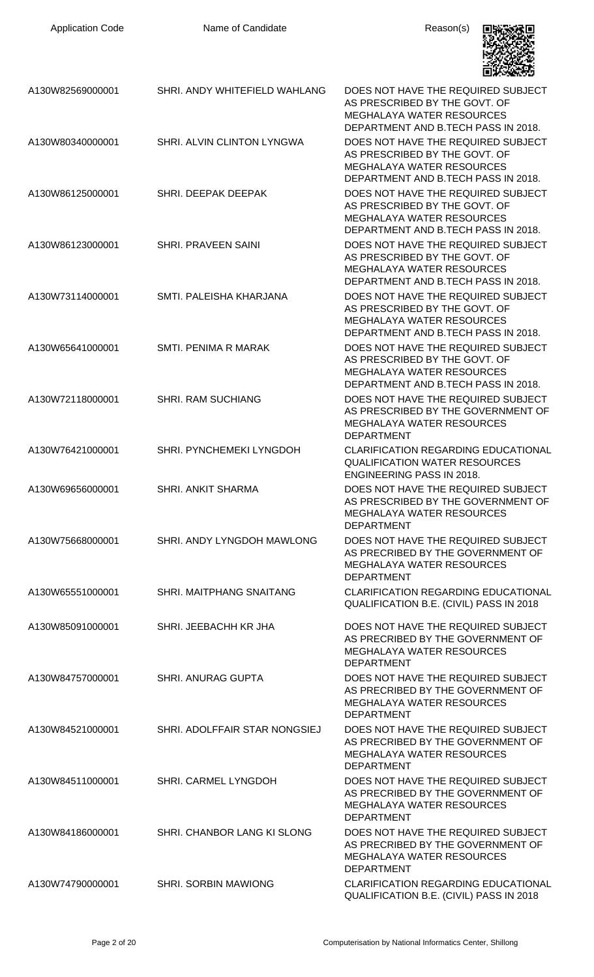| <b>Application Code</b> | Name of Candidate             | Reason(s)                                                                                                                                      |
|-------------------------|-------------------------------|------------------------------------------------------------------------------------------------------------------------------------------------|
| A130W82569000001        | SHRI. ANDY WHITEFIELD WAHLANG | DOES NOT HAVE THE REQUIRED SUBJECT<br>AS PRESCRIBED BY THE GOVT. OF<br><b>MEGHALAYA WATER RESOURCES</b><br>DEPARTMENT AND B.TECH PASS IN 2018. |
| A130W80340000001        | SHRI. ALVIN CLINTON LYNGWA    | DOES NOT HAVE THE REQUIRED SUBJECT<br>AS PRESCRIBED BY THE GOVT. OF<br><b>MEGHALAYA WATER RESOURCES</b><br>DEPARTMENT AND B.TECH PASS IN 2018. |
| A130W86125000001        | SHRI. DEEPAK DEEPAK           | DOES NOT HAVE THE REQUIRED SUBJECT<br>AS PRESCRIBED BY THE GOVT. OF<br><b>MEGHALAYA WATER RESOURCES</b><br>DEPARTMENT AND B.TECH PASS IN 2018. |
| A130W86123000001        | <b>SHRI. PRAVEEN SAINI</b>    | DOES NOT HAVE THE REQUIRED SUBJECT<br>AS PRESCRIBED BY THE GOVT. OF<br><b>MEGHALAYA WATER RESOURCES</b><br>DEPARTMENT AND B.TECH PASS IN 2018. |
| A130W73114000001        | SMTI. PALEISHA KHARJANA       | DOES NOT HAVE THE REQUIRED SUBJECT<br>AS PRESCRIBED BY THE GOVT. OF<br><b>MEGHALAYA WATER RESOURCES</b><br>DEPARTMENT AND B.TECH PASS IN 2018. |
| A130W65641000001        | SMTI. PENIMA R MARAK          | DOES NOT HAVE THE REQUIRED SUBJECT<br>AS PRESCRIBED BY THE GOVT. OF<br><b>MEGHALAYA WATER RESOURCES</b><br>DEPARTMENT AND B.TECH PASS IN 2018. |
| A130W72118000001        | <b>SHRI. RAM SUCHIANG</b>     | DOES NOT HAVE THE REQUIRED SUBJECT<br>AS PRESCRIBED BY THE GOVERNMENT OF<br><b>MEGHALAYA WATER RESOURCES</b><br><b>DEPARTMENT</b>              |
| A130W76421000001        | SHRI. PYNCHEMEKI LYNGDOH      | CLARIFICATION REGARDING EDUCATIONAL<br><b>QUALIFICATION WATER RESOURCES</b><br><b>ENGINEERING PASS IN 2018.</b>                                |
| A130W69656000001        | <b>SHRI. ANKIT SHARMA</b>     | DOES NOT HAVE THE REQUIRED SUBJECT<br>AS PRESCRIBED BY THE GOVERNMENT OF<br><b>MEGHALAYA WATER RESOURCES</b><br><b>DEPARTMENT</b>              |
| A130W75668000001        | SHRI. ANDY LYNGDOH MAWLONG    | DOES NOT HAVE THE REQUIRED SUBJECT<br>AS PRECRIBED BY THE GOVERNMENT OF<br><b>MEGHALAYA WATER RESOURCES</b><br><b>DEPARTMENT</b>               |
| A130W65551000001        | SHRI. MAITPHANG SNAITANG      | <b>CLARIFICATION REGARDING EDUCATIONAL</b><br>QUALIFICATION B.E. (CIVIL) PASS IN 2018                                                          |
| A130W85091000001        | SHRI. JEEBACHH KR JHA         | DOES NOT HAVE THE REQUIRED SUBJECT<br>AS PRECRIBED BY THE GOVERNMENT OF<br><b>MEGHALAYA WATER RESOURCES</b><br><b>DEPARTMENT</b>               |
| A130W84757000001        | <b>SHRI. ANURAG GUPTA</b>     | DOES NOT HAVE THE REQUIRED SUBJECT<br>AS PRECRIBED BY THE GOVERNMENT OF<br><b>MEGHALAYA WATER RESOURCES</b><br><b>DEPARTMENT</b>               |
| A130W84521000001        | SHRI. ADOLFFAIR STAR NONGSIEJ | DOES NOT HAVE THE REQUIRED SUBJECT<br>AS PRECRIBED BY THE GOVERNMENT OF<br><b>MEGHALAYA WATER RESOURCES</b><br><b>DEPARTMENT</b>               |
| A130W84511000001        | SHRI. CARMEL LYNGDOH          | DOES NOT HAVE THE REQUIRED SUBJECT<br>AS PRECRIBED BY THE GOVERNMENT OF<br><b>MEGHALAYA WATER RESOURCES</b><br><b>DEPARTMENT</b>               |
| A130W84186000001        | SHRI. CHANBOR LANG KI SLONG   | DOES NOT HAVE THE REQUIRED SUBJECT<br>AS PRECRIBED BY THE GOVERNMENT OF<br><b>MEGHALAYA WATER RESOURCES</b><br><b>DEPARTMENT</b>               |
| A130W74790000001        | <b>SHRI. SORBIN MAWIONG</b>   | <b>CLARIFICATION REGARDING EDUCATIONAL</b><br>QUALIFICATION B.E. (CIVIL) PASS IN 2018                                                          |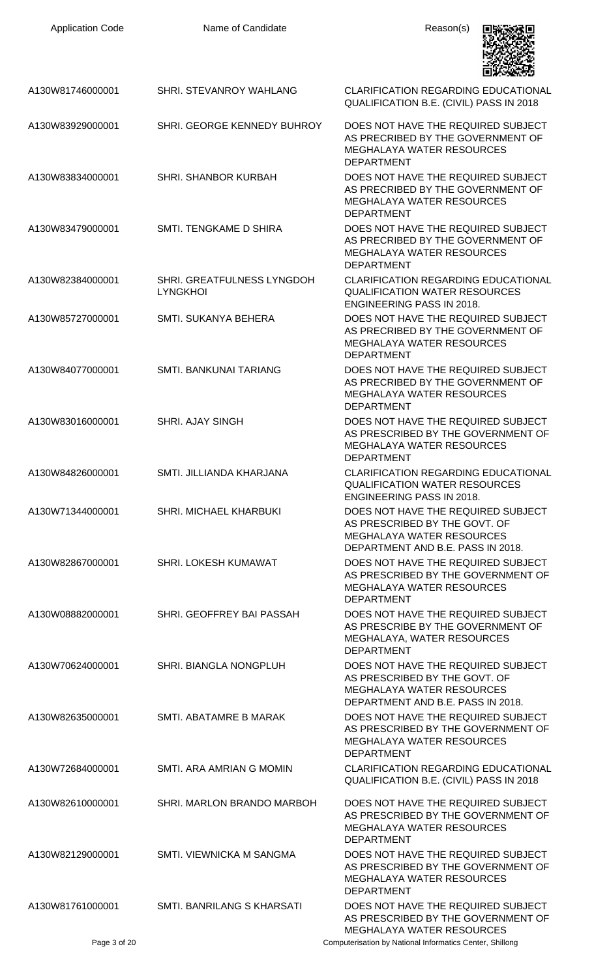| <b>Application Code</b> | Name of Candidate                             | Reason(s)                                                                                                                                    |
|-------------------------|-----------------------------------------------|----------------------------------------------------------------------------------------------------------------------------------------------|
|                         |                                               |                                                                                                                                              |
| A130W81746000001        | SHRI. STEVANROY WAHLANG                       | <b>CLARIFICATION REGARDING EDUCATIONAL</b><br>QUALIFICATION B.E. (CIVIL) PASS IN 2018                                                        |
| A130W83929000001        | SHRI. GEORGE KENNEDY BUHROY                   | DOES NOT HAVE THE REQUIRED SUBJECT<br>AS PRECRIBED BY THE GOVERNMENT OF<br><b>MEGHALAYA WATER RESOURCES</b><br><b>DEPARTMENT</b>             |
| A130W83834000001        | <b>SHRI. SHANBOR KURBAH</b>                   | DOES NOT HAVE THE REQUIRED SUBJECT<br>AS PRECRIBED BY THE GOVERNMENT OF<br><b>MEGHALAYA WATER RESOURCES</b><br><b>DEPARTMENT</b>             |
| A130W83479000001        | SMTI. TENGKAME D SHIRA                        | DOES NOT HAVE THE REQUIRED SUBJECT<br>AS PRECRIBED BY THE GOVERNMENT OF<br><b>MEGHALAYA WATER RESOURCES</b><br><b>DEPARTMENT</b>             |
| A130W82384000001        | SHRI. GREATFULNESS LYNGDOH<br><b>LYNGKHOI</b> | <b>CLARIFICATION REGARDING EDUCATIONAL</b><br><b>QUALIFICATION WATER RESOURCES</b><br><b>ENGINEERING PASS IN 2018.</b>                       |
| A130W85727000001        | <b>SMTI. SUKANYA BEHERA</b>                   | DOES NOT HAVE THE REQUIRED SUBJECT<br>AS PRECRIBED BY THE GOVERNMENT OF<br><b>MEGHALAYA WATER RESOURCES</b><br><b>DEPARTMENT</b>             |
| A130W84077000001        | SMTI. BANKUNAI TARIANG                        | DOES NOT HAVE THE REQUIRED SUBJECT<br>AS PRECRIBED BY THE GOVERNMENT OF<br><b>MEGHALAYA WATER RESOURCES</b><br><b>DEPARTMENT</b>             |
| A130W83016000001        | <b>SHRI. AJAY SINGH</b>                       | DOES NOT HAVE THE REQUIRED SUBJECT<br>AS PRESCRIBED BY THE GOVERNMENT OF<br><b>MEGHALAYA WATER RESOURCES</b><br>DEPARTMENT                   |
| A130W84826000001        | SMTI. JILLIANDA KHARJANA                      | <b>CLARIFICATION REGARDING EDUCATIONAL</b><br><b>QUALIFICATION WATER RESOURCES</b><br><b>ENGINEERING PASS IN 2018.</b>                       |
| A130W71344000001        | SHRI. MICHAEL KHARBUKI                        | DOES NOT HAVE THE REQUIRED SUBJECT<br>AS PRESCRIBED BY THE GOVT. OF<br><b>MEGHALAYA WATER RESOURCES</b><br>DEPARTMENT AND B.E. PASS IN 2018. |
| A130W82867000001        | SHRI. LOKESH KUMAWAT                          | DOES NOT HAVE THE REQUIRED SUBJECT<br>AS PRESCRIBED BY THE GOVERNMENT OF<br><b>MEGHALAYA WATER RESOURCES</b><br><b>DEPARTMENT</b>            |
| A130W08882000001        | SHRI. GEOFFREY BAI PASSAH                     | DOES NOT HAVE THE REQUIRED SUBJECT<br>AS PRESCRIBE BY THE GOVERNMENT OF<br>MEGHALAYA, WATER RESOURCES<br><b>DEPARTMENT</b>                   |
| A130W70624000001        | SHRI. BIANGLA NONGPLUH                        | DOES NOT HAVE THE REQUIRED SUBJECT<br>AS PRESCRIBED BY THE GOVT. OF<br><b>MEGHALAYA WATER RESOURCES</b><br>DEPARTMENT AND B.E. PASS IN 2018. |
| A130W82635000001        | SMTI. ABATAMRE B MARAK                        | DOES NOT HAVE THE REQUIRED SUBJECT<br>AS PRESCRIBED BY THE GOVERNMENT OF<br><b>MEGHALAYA WATER RESOURCES</b><br><b>DEPARTMENT</b>            |
| A130W72684000001        | SMTI. ARA AMRIAN G MOMIN                      | <b>CLARIFICATION REGARDING EDUCATIONAL</b><br>QUALIFICATION B.E. (CIVIL) PASS IN 2018                                                        |
| A130W82610000001        | SHRI. MARLON BRANDO MARBOH                    | DOES NOT HAVE THE REQUIRED SUBJECT<br>AS PRESCRIBED BY THE GOVERNMENT OF<br>MEGHALAYA WATER RESOURCES<br><b>DEPARTMENT</b>                   |
| A130W82129000001        | <b>SMTI. VIEWNICKA M SANGMA</b>               | DOES NOT HAVE THE REQUIRED SUBJECT<br>AS PRESCRIBED BY THE GOVERNMENT OF<br><b>MEGHALAYA WATER RESOURCES</b><br>DEPARTMENT                   |
| A130W81761000001        | SMTI. BANRILANG S KHARSATI                    | DOES NOT HAVE THE REQUIRED SUBJECT<br>AS PRESCRIBED BY THE GOVERNMENT OF<br><b>MEGHALAYA WATER RESOURCES</b>                                 |
| Page 3 of 20            |                                               | Computerisation by National Informatics Center, Shillong                                                                                     |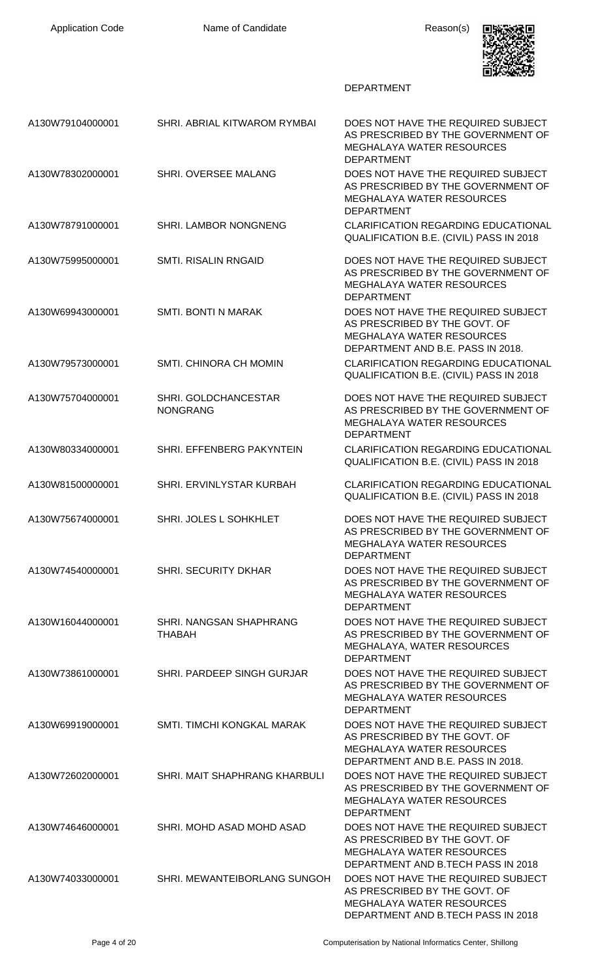

| A130W79104000001 | SHRI. ABRIAL KITWAROM RYMBAI             | DOES NOT HAVE THE REQUIRED SUBJECT<br>AS PRESCRIBED BY THE GOVERNMENT OF<br><b>MEGHALAYA WATER RESOURCES</b><br><b>DEPARTMENT</b>             |
|------------------|------------------------------------------|-----------------------------------------------------------------------------------------------------------------------------------------------|
| A130W78302000001 | SHRI. OVERSEE MALANG                     | DOES NOT HAVE THE REQUIRED SUBJECT<br>AS PRESCRIBED BY THE GOVERNMENT OF<br><b>MEGHALAYA WATER RESOURCES</b><br><b>DEPARTMENT</b>             |
| A130W78791000001 | <b>SHRI. LAMBOR NONGNENG</b>             | <b>CLARIFICATION REGARDING EDUCATIONAL</b><br>QUALIFICATION B.E. (CIVIL) PASS IN 2018                                                         |
| A130W75995000001 | <b>SMTI. RISALIN RNGAID</b>              | DOES NOT HAVE THE REQUIRED SUBJECT<br>AS PRESCRIBED BY THE GOVERNMENT OF<br><b>MEGHALAYA WATER RESOURCES</b><br><b>DEPARTMENT</b>             |
| A130W69943000001 | <b>SMTI. BONTI N MARAK</b>               | DOES NOT HAVE THE REQUIRED SUBJECT<br>AS PRESCRIBED BY THE GOVT. OF<br><b>MEGHALAYA WATER RESOURCES</b><br>DEPARTMENT AND B.E. PASS IN 2018.  |
| A130W79573000001 | <b>SMTI. CHINORA CH MOMIN</b>            | <b>CLARIFICATION REGARDING EDUCATIONAL</b><br>QUALIFICATION B.E. (CIVIL) PASS IN 2018                                                         |
| A130W75704000001 | SHRI. GOLDCHANCESTAR<br><b>NONGRANG</b>  | DOES NOT HAVE THE REQUIRED SUBJECT<br>AS PRESCRIBED BY THE GOVERNMENT OF<br><b>MEGHALAYA WATER RESOURCES</b><br><b>DEPARTMENT</b>             |
| A130W80334000001 | SHRI. EFFENBERG PAKYNTEIN                | <b>CLARIFICATION REGARDING EDUCATIONAL</b><br>QUALIFICATION B.E. (CIVIL) PASS IN 2018                                                         |
| A130W81500000001 | SHRI. ERVINLYSTAR KURBAH                 | <b>CLARIFICATION REGARDING EDUCATIONAL</b><br>QUALIFICATION B.E. (CIVIL) PASS IN 2018                                                         |
| A130W75674000001 | SHRI. JOLES L SOHKHLET                   | DOES NOT HAVE THE REQUIRED SUBJECT<br>AS PRESCRIBED BY THE GOVERNMENT OF<br>MEGHALAYA WATER RESOURCES<br><b>DEPARTMENT</b>                    |
| A130W74540000001 | <b>SHRI. SECURITY DKHAR</b>              | DOES NOT HAVE THE REQUIRED SUBJECT<br>AS PRESCRIBED BY THE GOVERNMENT OF<br><b>MEGHALAYA WATER RESOURCES</b><br><b>DEPARTMENT</b>             |
| A130W16044000001 | SHRI. NANGSAN SHAPHRANG<br><b>THABAH</b> | DOES NOT HAVE THE REQUIRED SUBJECT<br>AS PRESCRIBED BY THE GOVERNMENT OF<br>MEGHALAYA, WATER RESOURCES<br><b>DEPARTMENT</b>                   |
| A130W73861000001 | SHRI. PARDEEP SINGH GURJAR               | DOES NOT HAVE THE REQUIRED SUBJECT<br>AS PRESCRIBED BY THE GOVERNMENT OF<br><b>MEGHALAYA WATER RESOURCES</b><br><b>DEPARTMENT</b>             |
| A130W69919000001 | SMTI. TIMCHI KONGKAL MARAK               | DOES NOT HAVE THE REQUIRED SUBJECT<br>AS PRESCRIBED BY THE GOVT. OF<br><b>MEGHALAYA WATER RESOURCES</b><br>DEPARTMENT AND B.E. PASS IN 2018.  |
| A130W72602000001 | SHRI. MAIT SHAPHRANG KHARBULI            | DOES NOT HAVE THE REQUIRED SUBJECT<br>AS PRESCRIBED BY THE GOVERNMENT OF<br><b>MEGHALAYA WATER RESOURCES</b><br><b>DEPARTMENT</b>             |
| A130W74646000001 | SHRI. MOHD ASAD MOHD ASAD                | DOES NOT HAVE THE REQUIRED SUBJECT<br>AS PRESCRIBED BY THE GOVT. OF<br><b>MEGHALAYA WATER RESOURCES</b><br>DEPARTMENT AND B.TECH PASS IN 2018 |
| A130W74033000001 | SHRI. MEWANTEIBORLANG SUNGOH             | DOES NOT HAVE THE REQUIRED SUBJECT<br>AS PRESCRIBED BY THE GOVT. OF<br><b>MEGHALAYA WATER RESOURCES</b><br>DEPARTMENT AND B.TECH PASS IN 2018 |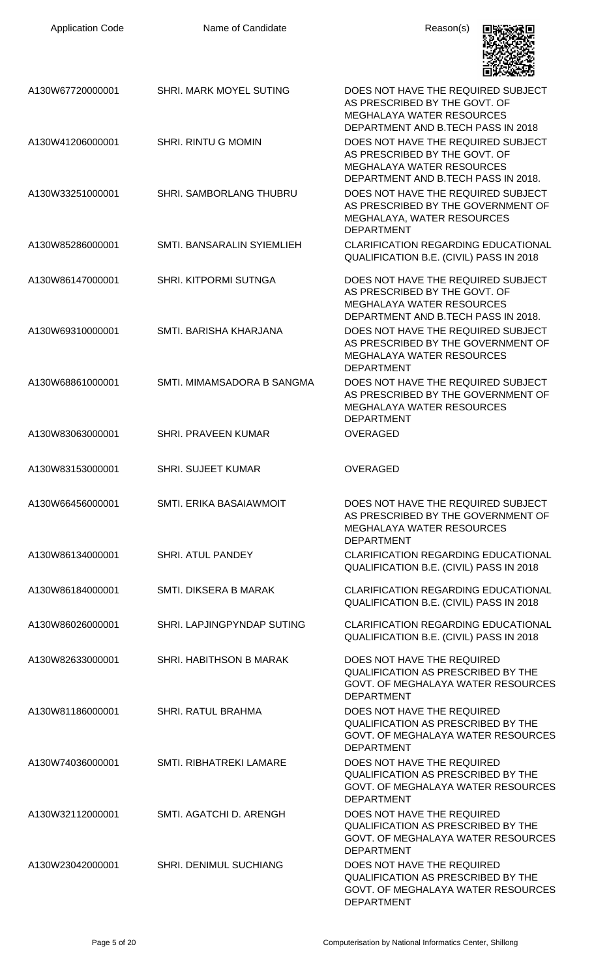| <b>Application Code</b> | Name of Candidate              | Reason(s)                                                                                                                                      |
|-------------------------|--------------------------------|------------------------------------------------------------------------------------------------------------------------------------------------|
| A130W67720000001        | SHRI. MARK MOYEL SUTING        | DOES NOT HAVE THE REQUIRED SUBJECT<br>AS PRESCRIBED BY THE GOVT. OF<br><b>MEGHALAYA WATER RESOURCES</b><br>DEPARTMENT AND B.TECH PASS IN 2018  |
| A130W41206000001        | <b>SHRI. RINTU G MOMIN</b>     | DOES NOT HAVE THE REQUIRED SUBJECT<br>AS PRESCRIBED BY THE GOVT. OF<br><b>MEGHALAYA WATER RESOURCES</b><br>DEPARTMENT AND B.TECH PASS IN 2018. |
| A130W33251000001        | <b>SHRI. SAMBORLANG THUBRU</b> | DOES NOT HAVE THE REQUIRED SUBJECT<br>AS PRESCRIBED BY THE GOVERNMENT OF<br>MEGHALAYA, WATER RESOURCES<br><b>DEPARTMENT</b>                    |
| A130W85286000001        | SMTI. BANSARALIN SYIEMLIEH     | <b>CLARIFICATION REGARDING EDUCATIONAL</b><br>QUALIFICATION B.E. (CIVIL) PASS IN 2018                                                          |
| A130W86147000001        | <b>SHRI. KITPORMI SUTNGA</b>   | DOES NOT HAVE THE REQUIRED SUBJECT<br>AS PRESCRIBED BY THE GOVT. OF<br><b>MEGHALAYA WATER RESOURCES</b><br>DEPARTMENT AND B.TECH PASS IN 2018. |
| A130W69310000001        | SMTI, BARISHA KHARJANA         | DOES NOT HAVE THE REQUIRED SUBJECT<br>AS PRESCRIBED BY THE GOVERNMENT OF<br><b>MEGHALAYA WATER RESOURCES</b><br><b>DEPARTMENT</b>              |
| A130W68861000001        | SMTI. MIMAMSADORA B SANGMA     | DOES NOT HAVE THE REQUIRED SUBJECT<br>AS PRESCRIBED BY THE GOVERNMENT OF<br>MEGHALAYA WATER RESOURCES<br><b>DEPARTMENT</b>                     |
| A130W83063000001        | <b>SHRI. PRAVEEN KUMAR</b>     | <b>OVERAGED</b>                                                                                                                                |
| A130W83153000001        | <b>SHRI. SUJEET KUMAR</b>      | <b>OVERAGED</b>                                                                                                                                |
| A130W66456000001        | SMTI. ERIKA BASAIAWMOIT        | DOES NOT HAVE THE REQUIRED SUBJECT<br>AS PRESCRIBED BY THE GOVERNMENT OF<br><b>MEGHALAYA WATER RESOURCES</b><br><b>DEPARTMENT</b>              |
| A130W86134000001        | <b>SHRI. ATUL PANDEY</b>       | <b>CLARIFICATION REGARDING EDUCATIONAL</b><br>QUALIFICATION B.E. (CIVIL) PASS IN 2018                                                          |
| A130W86184000001        | <b>SMTI. DIKSERA B MARAK</b>   | <b>CLARIFICATION REGARDING EDUCATIONAL</b><br>QUALIFICATION B.E. (CIVIL) PASS IN 2018                                                          |
| A130W86026000001        | SHRI. LAPJINGPYNDAP SUTING     | <b>CLARIFICATION REGARDING EDUCATIONAL</b><br>QUALIFICATION B.E. (CIVIL) PASS IN 2018                                                          |
| A130W82633000001        | SHRI. HABITHSON B MARAK        | DOES NOT HAVE THE REQUIRED<br><b>QUALIFICATION AS PRESCRIBED BY THE</b><br>GOVT. OF MEGHALAYA WATER RESOURCES<br><b>DEPARTMENT</b>             |
| A130W81186000001        | <b>SHRI. RATUL BRAHMA</b>      | DOES NOT HAVE THE REQUIRED<br><b>QUALIFICATION AS PRESCRIBED BY THE</b><br>GOVT. OF MEGHALAYA WATER RESOURCES<br><b>DEPARTMENT</b>             |
| A130W74036000001        | SMTI. RIBHATREKI LAMARE        | DOES NOT HAVE THE REQUIRED<br><b>QUALIFICATION AS PRESCRIBED BY THE</b><br>GOVT. OF MEGHALAYA WATER RESOURCES<br><b>DEPARTMENT</b>             |
| A130W32112000001        | SMTI. AGATCHI D. ARENGH        | DOES NOT HAVE THE REQUIRED<br><b>QUALIFICATION AS PRESCRIBED BY THE</b><br>GOVT. OF MEGHALAYA WATER RESOURCES<br><b>DEPARTMENT</b>             |
| A130W23042000001        | SHRI. DENIMUL SUCHIANG         | DOES NOT HAVE THE REQUIRED<br><b>QUALIFICATION AS PRESCRIBED BY THE</b><br>GOVT. OF MEGHALAYA WATER RESOURCES<br><b>DEPARTMENT</b>             |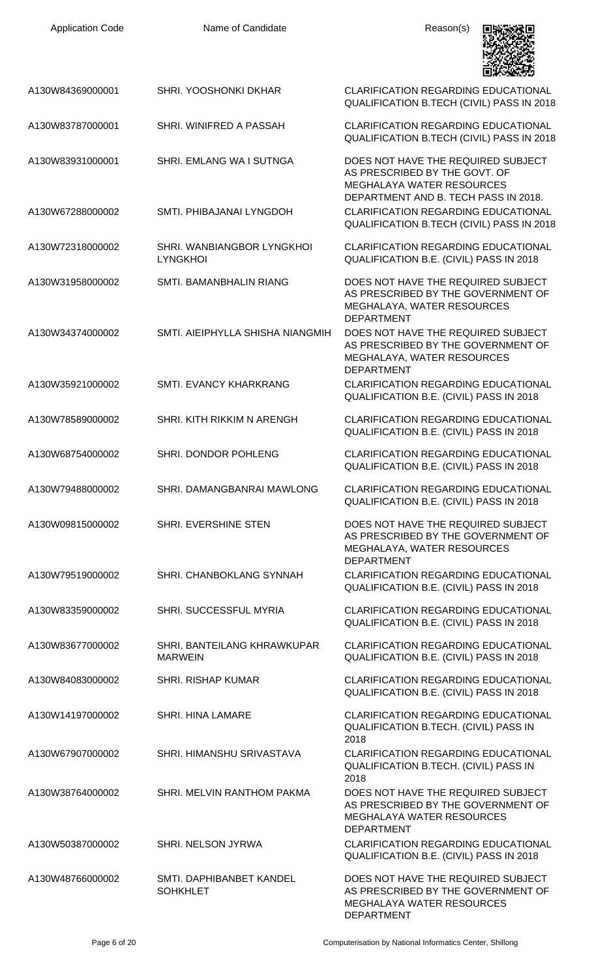| <b>Application Code</b> | Name of Candidate                             | Reason(s)                                                                                                                                       |
|-------------------------|-----------------------------------------------|-------------------------------------------------------------------------------------------------------------------------------------------------|
| A130W84369000001        | SHRI. YOOSHONKI DKHAR                         | <b>CLARIFICATION REGARDING EDUCATIONAL</b><br>QUALIFICATION B.TECH (CIVIL) PASS IN 2018                                                         |
| A130W83787000001        | SHRI. WINIFRED A PASSAH                       | <b>CLARIFICATION REGARDING EDUCATIONAL</b><br>QUALIFICATION B.TECH (CIVIL) PASS IN 2018                                                         |
| A130W83931000001        | SHRI. EMLANG WA I SUTNGA                      | DOES NOT HAVE THE REQUIRED SUBJECT<br>AS PRESCRIBED BY THE GOVT. OF<br><b>MEGHALAYA WATER RESOURCES</b><br>DEPARTMENT AND B. TECH PASS IN 2018. |
| A130W67288000002        | SMTI. PHIBAJANAI LYNGDOH                      | <b>CLARIFICATION REGARDING EDUCATIONAL</b><br>QUALIFICATION B.TECH (CIVIL) PASS IN 2018                                                         |
| A130W72318000002        | SHRI. WANBIANGBOR LYNGKHOI<br><b>LYNGKHOI</b> | <b>CLARIFICATION REGARDING EDUCATIONAL</b><br>QUALIFICATION B.E. (CIVIL) PASS IN 2018                                                           |
| A130W31958000002        | SMTI. BAMANBHALIN RIANG                       | DOES NOT HAVE THE REQUIRED SUBJECT<br>AS PRESCRIBED BY THE GOVERNMENT OF<br>MEGHALAYA, WATER RESOURCES<br><b>DEPARTMENT</b>                     |
| A130W34374000002        | SMTI. AIEIPHYLLA SHISHA NIANGMIH              | DOES NOT HAVE THE REQUIRED SUBJECT<br>AS PRESCRIBED BY THE GOVERNMENT OF<br>MEGHALAYA, WATER RESOURCES<br><b>DEPARTMENT</b>                     |
| A130W35921000002        | SMTI. EVANCY KHARKRANG                        | <b>CLARIFICATION REGARDING EDUCATIONAL</b><br>QUALIFICATION B.E. (CIVIL) PASS IN 2018                                                           |
| A130W78589000002        | SHRI. KITH RIKKIM N ARENGH                    | <b>CLARIFICATION REGARDING EDUCATIONAL</b><br>QUALIFICATION B.E. (CIVIL) PASS IN 2018                                                           |
| A130W68754000002        | SHRI. DONDOR POHLENG                          | <b>CLARIFICATION REGARDING EDUCATIONAL</b><br>QUALIFICATION B.E. (CIVIL) PASS IN 2018                                                           |
| A130W79488000002        | SHRI. DAMANGBANRAI MAWLONG                    | <b>CLARIFICATION REGARDING EDUCATIONAL</b><br>QUALIFICATION B.E. (CIVIL) PASS IN 2018                                                           |
| A130W09815000002        | SHRI. EVERSHINE STEN                          | DOES NOT HAVE THE REQUIRED SUBJECT<br>AS PRESCRIBED BY THE GOVERNMENT OF<br>MEGHALAYA, WATER RESOURCES<br><b>DEPARTMENT</b>                     |
| A130W79519000002        | SHRI. CHANBOKLANG SYNNAH                      | <b>CLARIFICATION REGARDING EDUCATIONAL</b><br>QUALIFICATION B.E. (CIVIL) PASS IN 2018                                                           |
| A130W83359000002        | SHRI. SUCCESSFUL MYRIA                        | <b>CLARIFICATION REGARDING EDUCATIONAL</b><br>QUALIFICATION B.E. (CIVIL) PASS IN 2018                                                           |
| A130W83677000002        | SHRI. BANTEILANG KHRAWKUPAR<br><b>MARWEIN</b> | <b>CLARIFICATION REGARDING EDUCATIONAL</b><br>QUALIFICATION B.E. (CIVIL) PASS IN 2018                                                           |
| A130W84083000002        | <b>SHRI. RISHAP KUMAR</b>                     | <b>CLARIFICATION REGARDING EDUCATIONAL</b><br>QUALIFICATION B.E. (CIVIL) PASS IN 2018                                                           |
| A130W14197000002        | SHRI. HINA LAMARE                             | <b>CLARIFICATION REGARDING EDUCATIONAL</b><br>QUALIFICATION B.TECH. (CIVIL) PASS IN<br>2018                                                     |
| A130W67907000002        | SHRI. HIMANSHU SRIVASTAVA                     | <b>CLARIFICATION REGARDING EDUCATIONAL</b><br>QUALIFICATION B.TECH. (CIVIL) PASS IN<br>2018                                                     |
| A130W38764000002        | SHRI. MELVIN RANTHOM PAKMA                    | DOES NOT HAVE THE REQUIRED SUBJECT<br>AS PRESCRIBED BY THE GOVERNMENT OF<br>MEGHALAYA WATER RESOURCES<br><b>DEPARTMENT</b>                      |
| A130W50387000002        | SHRI. NELSON JYRWA                            | <b>CLARIFICATION REGARDING EDUCATIONAL</b><br>QUALIFICATION B.E. (CIVIL) PASS IN 2018                                                           |
| A130W48766000002        | SMTI. DAPHIBANBET KANDEL<br><b>SOHKHLET</b>   | DOES NOT HAVE THE REQUIRED SUBJECT<br>AS PRESCRIBED BY THE GOVERNMENT OF<br>MEGHALAYA WATER RESOURCES<br><b>DEPARTMENT</b>                      |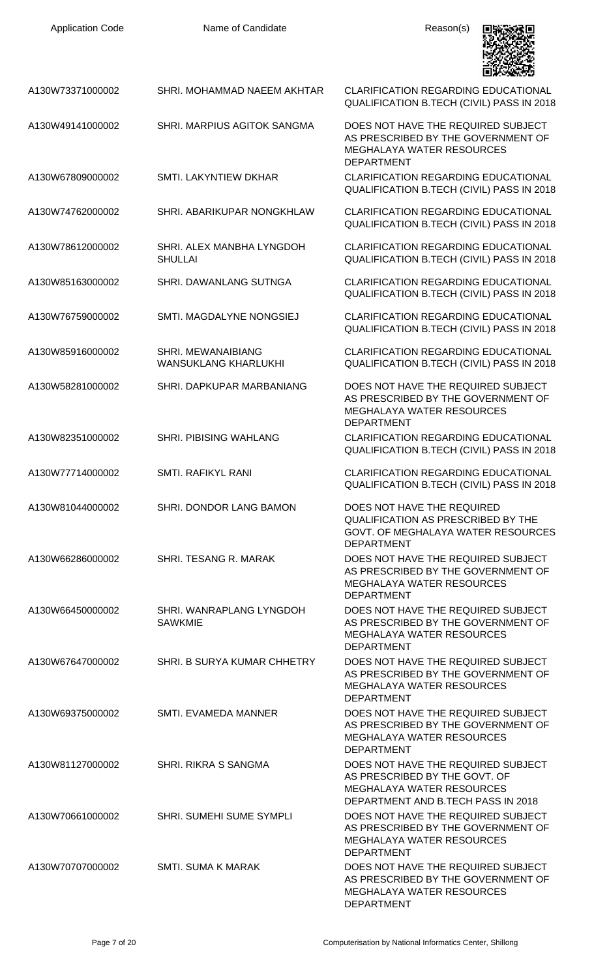| <b>Application Code</b> | Name of Candidate                                 | Reason(s)                                                                                                                                     |
|-------------------------|---------------------------------------------------|-----------------------------------------------------------------------------------------------------------------------------------------------|
| A130W73371000002        | SHRI. MOHAMMAD NAEEM AKHTAR                       | <b>CLARIFICATION REGARDING EDUCATIONAL</b><br>QUALIFICATION B.TECH (CIVIL) PASS IN 2018                                                       |
| A130W49141000002        | SHRI. MARPIUS AGITOK SANGMA                       | DOES NOT HAVE THE REQUIRED SUBJECT<br>AS PRESCRIBED BY THE GOVERNMENT OF<br><b>MEGHALAYA WATER RESOURCES</b><br><b>DEPARTMENT</b>             |
| A130W67809000002        | SMTI. LAKYNTIEW DKHAR                             | <b>CLARIFICATION REGARDING EDUCATIONAL</b><br>QUALIFICATION B.TECH (CIVIL) PASS IN 2018                                                       |
| A130W74762000002        | SHRI. ABARIKUPAR NONGKHLAW                        | <b>CLARIFICATION REGARDING EDUCATIONAL</b><br>QUALIFICATION B.TECH (CIVIL) PASS IN 2018                                                       |
| A130W78612000002        | SHRI. ALEX MANBHA LYNGDOH<br><b>SHULLAI</b>       | <b>CLARIFICATION REGARDING EDUCATIONAL</b><br>QUALIFICATION B.TECH (CIVIL) PASS IN 2018                                                       |
| A130W85163000002        | <b>SHRI. DAWANLANG SUTNGA</b>                     | <b>CLARIFICATION REGARDING EDUCATIONAL</b><br>QUALIFICATION B.TECH (CIVIL) PASS IN 2018                                                       |
| A130W76759000002        | SMTI. MAGDALYNE NONGSIEJ                          | <b>CLARIFICATION REGARDING EDUCATIONAL</b><br>QUALIFICATION B.TECH (CIVIL) PASS IN 2018                                                       |
| A130W85916000002        | SHRI. MEWANAIBIANG<br><b>WANSUKLANG KHARLUKHI</b> | <b>CLARIFICATION REGARDING EDUCATIONAL</b><br>QUALIFICATION B.TECH (CIVIL) PASS IN 2018                                                       |
| A130W58281000002        | SHRI. DAPKUPAR MARBANIANG                         | DOES NOT HAVE THE REQUIRED SUBJECT<br>AS PRESCRIBED BY THE GOVERNMENT OF<br><b>MEGHALAYA WATER RESOURCES</b><br><b>DEPARTMENT</b>             |
| A130W82351000002        | <b>SHRI. PIBISING WAHLANG</b>                     | <b>CLARIFICATION REGARDING EDUCATIONAL</b><br><b>QUALIFICATION B.TECH (CIVIL) PASS IN 2018</b>                                                |
| A130W77714000002        | <b>SMTI. RAFIKYL RANI</b>                         | <b>CLARIFICATION REGARDING EDUCATIONAL</b><br>QUALIFICATION B.TECH (CIVIL) PASS IN 2018                                                       |
| A130W81044000002        | SHRI. DONDOR LANG BAMON                           | DOES NOT HAVE THE REQUIRED<br><b>QUALIFICATION AS PRESCRIBED BY THE</b><br>GOVT. OF MEGHALAYA WATER RESOURCES<br><b>DEPARTMENT</b>            |
| A130W66286000002        | SHRI. TESANG R. MARAK                             | DOES NOT HAVE THE REQUIRED SUBJECT<br>AS PRESCRIBED BY THE GOVERNMENT OF<br><b>MEGHALAYA WATER RESOURCES</b><br><b>DEPARTMENT</b>             |
| A130W66450000002        | SHRI. WANRAPLANG LYNGDOH<br><b>SAWKMIE</b>        | DOES NOT HAVE THE REQUIRED SUBJECT<br>AS PRESCRIBED BY THE GOVERNMENT OF<br>MEGHALAYA WATER RESOURCES<br><b>DEPARTMENT</b>                    |
| A130W67647000002        | SHRI. B SURYA KUMAR CHHETRY                       | DOES NOT HAVE THE REQUIRED SUBJECT<br>AS PRESCRIBED BY THE GOVERNMENT OF<br><b>MEGHALAYA WATER RESOURCES</b><br><b>DEPARTMENT</b>             |
| A130W69375000002        | SMTI. EVAMEDA MANNER                              | DOES NOT HAVE THE REQUIRED SUBJECT<br>AS PRESCRIBED BY THE GOVERNMENT OF<br>MEGHALAYA WATER RESOURCES<br><b>DEPARTMENT</b>                    |
| A130W81127000002        | SHRI. RIKRA S SANGMA                              | DOES NOT HAVE THE REQUIRED SUBJECT<br>AS PRESCRIBED BY THE GOVT. OF<br><b>MEGHALAYA WATER RESOURCES</b><br>DEPARTMENT AND B.TECH PASS IN 2018 |
| A130W70661000002        | SHRI. SUMEHI SUME SYMPLI                          | DOES NOT HAVE THE REQUIRED SUBJECT<br>AS PRESCRIBED BY THE GOVERNMENT OF<br><b>MEGHALAYA WATER RESOURCES</b><br><b>DEPARTMENT</b>             |
| A130W70707000002        | <b>SMTI. SUMA K MARAK</b>                         | DOES NOT HAVE THE REQUIRED SUBJECT<br>AS PRESCRIBED BY THE GOVERNMENT OF<br>MEGHALAYA WATER RESOURCES<br><b>DEPARTMENT</b>                    |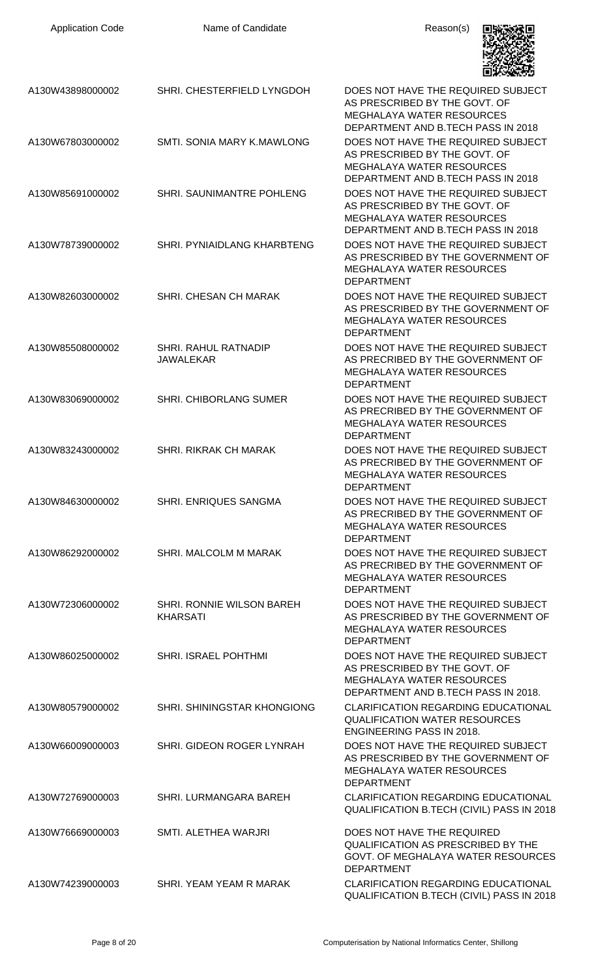| <b>Application Code</b> | Name of Candidate                            | Reason(s)                                                                                                                                      |
|-------------------------|----------------------------------------------|------------------------------------------------------------------------------------------------------------------------------------------------|
| A130W43898000002        | SHRI. CHESTERFIELD LYNGDOH                   | DOES NOT HAVE THE REQUIRED SUBJECT<br>AS PRESCRIBED BY THE GOVT. OF<br><b>MEGHALAYA WATER RESOURCES</b><br>DEPARTMENT AND B.TECH PASS IN 2018  |
| A130W67803000002        | <b>SMTI, SONIA MARY K.MAWLONG</b>            | DOES NOT HAVE THE REQUIRED SUBJECT<br>AS PRESCRIBED BY THE GOVT. OF<br><b>MEGHALAYA WATER RESOURCES</b><br>DEPARTMENT AND B.TECH PASS IN 2018  |
| A130W85691000002        | SHRI. SAUNIMANTRE POHLENG                    | DOES NOT HAVE THE REQUIRED SUBJECT<br>AS PRESCRIBED BY THE GOVT. OF<br><b>MEGHALAYA WATER RESOURCES</b><br>DEPARTMENT AND B.TECH PASS IN 2018  |
| A130W78739000002        | <b>SHRI. PYNIAIDLANG KHARBTENG</b>           | DOES NOT HAVE THE REQUIRED SUBJECT<br>AS PRESCRIBED BY THE GOVERNMENT OF<br><b>MEGHALAYA WATER RESOURCES</b><br><b>DEPARTMENT</b>              |
| A130W82603000002        | SHRI. CHESAN CH MARAK                        | DOES NOT HAVE THE REQUIRED SUBJECT<br>AS PRESCRIBED BY THE GOVERNMENT OF<br><b>MEGHALAYA WATER RESOURCES</b><br><b>DEPARTMENT</b>              |
| A130W85508000002        | SHRI. RAHUL RATNADIP<br><b>JAWALEKAR</b>     | DOES NOT HAVE THE REQUIRED SUBJECT<br>AS PRECRIBED BY THE GOVERNMENT OF<br><b>MEGHALAYA WATER RESOURCES</b><br><b>DEPARTMENT</b>               |
| A130W83069000002        | <b>SHRI. CHIBORLANG SUMER</b>                | DOES NOT HAVE THE REQUIRED SUBJECT<br>AS PRECRIBED BY THE GOVERNMENT OF<br><b>MEGHALAYA WATER RESOURCES</b><br><b>DEPARTMENT</b>               |
| A130W83243000002        | <b>SHRI. RIKRAK CH MARAK</b>                 | DOES NOT HAVE THE REQUIRED SUBJECT.<br>AS PRECRIBED BY THE GOVERNMENT OF<br><b>MEGHALAYA WATER RESOURCES</b><br><b>DEPARTMENT</b>              |
| A130W84630000002        | <b>SHRI. ENRIQUES SANGMA</b>                 | DOES NOT HAVE THE REQUIRED SUBJECT<br>AS PRECRIBED BY THE GOVERNMENT OF<br><b>MEGHALAYA WATER RESOURCES</b><br><b>DEPARTMENT</b>               |
| A130W86292000002        | SHRI. MALCOLM M MARAK                        | DOES NOT HAVE THE REQUIRED SUBJECT<br>AS PRECRIBED BY THE GOVERNMENT OF<br><b>MEGHALAYA WATER RESOURCES</b><br><b>DEPARTMENT</b>               |
| A130W72306000002        | SHRI. RONNIE WILSON BAREH<br><b>KHARSATI</b> | DOES NOT HAVE THE REQUIRED SUBJECT<br>AS PRESCRIBED BY THE GOVERNMENT OF<br><b>MEGHALAYA WATER RESOURCES</b><br><b>DEPARTMENT</b>              |
| A130W86025000002        | SHRI. ISRAEL POHTHMI                         | DOES NOT HAVE THE REQUIRED SUBJECT<br>AS PRESCRIBED BY THE GOVT. OF<br><b>MEGHALAYA WATER RESOURCES</b><br>DEPARTMENT AND B.TECH PASS IN 2018. |
| A130W80579000002        | SHRI. SHININGSTAR KHONGIONG                  | <b>CLARIFICATION REGARDING EDUCATIONAL</b><br><b>QUALIFICATION WATER RESOURCES</b><br><b>ENGINEERING PASS IN 2018.</b>                         |
| A130W66009000003        | SHRI. GIDEON ROGER LYNRAH                    | DOES NOT HAVE THE REQUIRED SUBJECT<br>AS PRESCRIBED BY THE GOVERNMENT OF<br><b>MEGHALAYA WATER RESOURCES</b><br><b>DEPARTMENT</b>              |
| A130W72769000003        | SHRI. LURMANGARA BAREH                       | CLARIFICATION REGARDING EDUCATIONAL<br>QUALIFICATION B.TECH (CIVIL) PASS IN 2018                                                               |
| A130W76669000003        | SMTI. ALETHEA WARJRI                         | DOES NOT HAVE THE REQUIRED<br><b>QUALIFICATION AS PRESCRIBED BY THE</b><br>GOVT. OF MEGHALAYA WATER RESOURCES<br><b>DEPARTMENT</b>             |
| A130W74239000003        | SHRI. YEAM YEAM R MARAK                      | <b>CLARIFICATION REGARDING EDUCATIONAL</b><br>QUALIFICATION B.TECH (CIVIL) PASS IN 2018                                                        |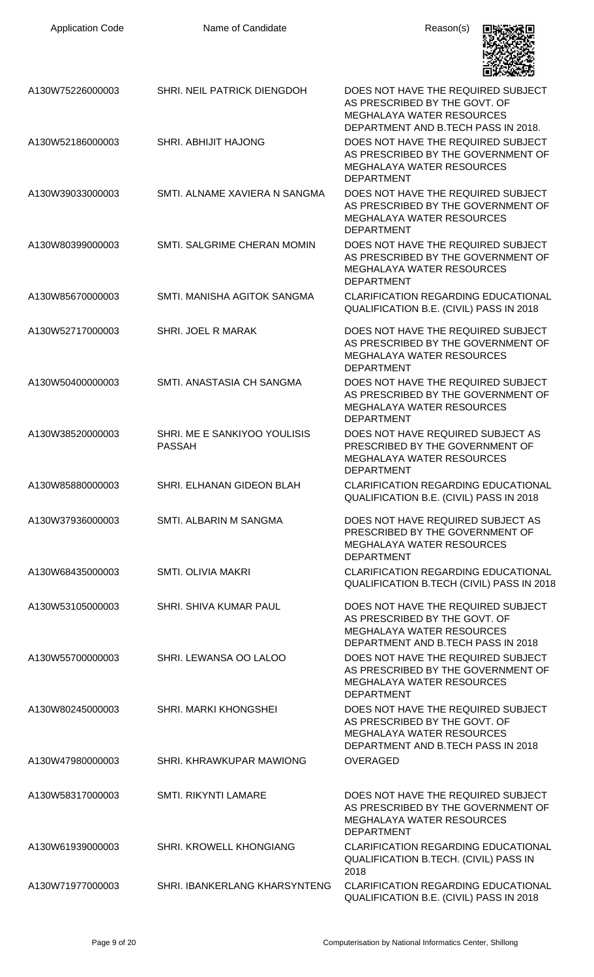| <b>Application Code</b> | Name of Candidate                             | Reason(s)                                                                                                                                      |
|-------------------------|-----------------------------------------------|------------------------------------------------------------------------------------------------------------------------------------------------|
| A130W75226000003        | SHRI. NEIL PATRICK DIENGDOH                   | DOES NOT HAVE THE REQUIRED SUBJECT<br>AS PRESCRIBED BY THE GOVT. OF<br><b>MEGHALAYA WATER RESOURCES</b><br>DEPARTMENT AND B.TECH PASS IN 2018. |
| A130W52186000003        | SHRI. ABHIJIT HAJONG                          | DOES NOT HAVE THE REQUIRED SUBJECT<br>AS PRESCRIBED BY THE GOVERNMENT OF<br><b>MEGHALAYA WATER RESOURCES</b><br><b>DEPARTMENT</b>              |
| A130W39033000003        | SMTI. ALNAME XAVIERA N SANGMA                 | DOES NOT HAVE THE REQUIRED SUBJECT<br>AS PRESCRIBED BY THE GOVERNMENT OF<br><b>MEGHALAYA WATER RESOURCES</b><br><b>DEPARTMENT</b>              |
| A130W80399000003        | SMTI. SALGRIME CHERAN MOMIN                   | DOES NOT HAVE THE REQUIRED SUBJECT<br>AS PRESCRIBED BY THE GOVERNMENT OF<br><b>MEGHALAYA WATER RESOURCES</b><br><b>DEPARTMENT</b>              |
| A130W85670000003        | SMTI. MANISHA AGITOK SANGMA                   | <b>CLARIFICATION REGARDING EDUCATIONAL</b><br>QUALIFICATION B.E. (CIVIL) PASS IN 2018                                                          |
| A130W52717000003        | SHRI. JOEL R MARAK                            | DOES NOT HAVE THE REQUIRED SUBJECT<br>AS PRESCRIBED BY THE GOVERNMENT OF<br><b>MEGHALAYA WATER RESOURCES</b><br><b>DEPARTMENT</b>              |
| A130W50400000003        | SMTI. ANASTASIA CH SANGMA                     | DOES NOT HAVE THE REQUIRED SUBJECT<br>AS PRESCRIBED BY THE GOVERNMENT OF<br><b>MEGHALAYA WATER RESOURCES</b><br><b>DEPARTMENT</b>              |
| A130W38520000003        | SHRI. ME E SANKIYOO YOULISIS<br><b>PASSAH</b> | DOES NOT HAVE REQUIRED SUBJECT AS<br>PRESCRIBED BY THE GOVERNMENT OF<br>MEGHALAYA WATER RESOURCES<br><b>DEPARTMENT</b>                         |
| A130W85880000003        | SHRI. ELHANAN GIDEON BLAH                     | <b>CLARIFICATION REGARDING EDUCATIONAL</b><br>QUALIFICATION B.E. (CIVIL) PASS IN 2018                                                          |
| A130W37936000003        | SMTI. ALBARIN M SANGMA                        | DOES NOT HAVE REQUIRED SUBJECT AS<br>PRESCRIBED BY THE GOVERNMENT OF<br><b>MEGHALAYA WATER RESOURCES</b><br><b>DEPARTMENT</b>                  |
| A130W68435000003        | <b>SMTI. OLIVIA MAKRI</b>                     | <b>CLARIFICATION REGARDING EDUCATIONAL</b><br>QUALIFICATION B.TECH (CIVIL) PASS IN 2018                                                        |
| A130W53105000003        | SHRI. SHIVA KUMAR PAUL                        | DOES NOT HAVE THE REQUIRED SUBJECT<br>AS PRESCRIBED BY THE GOVT. OF<br><b>MEGHALAYA WATER RESOURCES</b><br>DEPARTMENT AND B.TECH PASS IN 2018  |
| A130W55700000003        | SHRI. LEWANSA OO LALOO                        | DOES NOT HAVE THE REQUIRED SUBJECT<br>AS PRESCRIBED BY THE GOVERNMENT OF<br>MEGHALAYA WATER RESOURCES<br><b>DEPARTMENT</b>                     |
| A130W80245000003        | SHRI. MARKI KHONGSHEI                         | DOES NOT HAVE THE REQUIRED SUBJECT<br>AS PRESCRIBED BY THE GOVT. OF<br><b>MEGHALAYA WATER RESOURCES</b><br>DEPARTMENT AND B.TECH PASS IN 2018  |
| A130W47980000003        | SHRI. KHRAWKUPAR MAWIONG                      | <b>OVERAGED</b>                                                                                                                                |
| A130W58317000003        | <b>SMTI. RIKYNTI LAMARE</b>                   | DOES NOT HAVE THE REQUIRED SUBJECT<br>AS PRESCRIBED BY THE GOVERNMENT OF<br><b>MEGHALAYA WATER RESOURCES</b><br><b>DEPARTMENT</b>              |
| A130W61939000003        | SHRI. KROWELL KHONGIANG                       | <b>CLARIFICATION REGARDING EDUCATIONAL</b><br>QUALIFICATION B.TECH. (CIVIL) PASS IN<br>2018                                                    |
| A130W71977000003        | SHRI. IBANKERLANG KHARSYNTENG                 | <b>CLARIFICATION REGARDING EDUCATIONAL</b><br>QUALIFICATION B.E. (CIVIL) PASS IN 2018                                                          |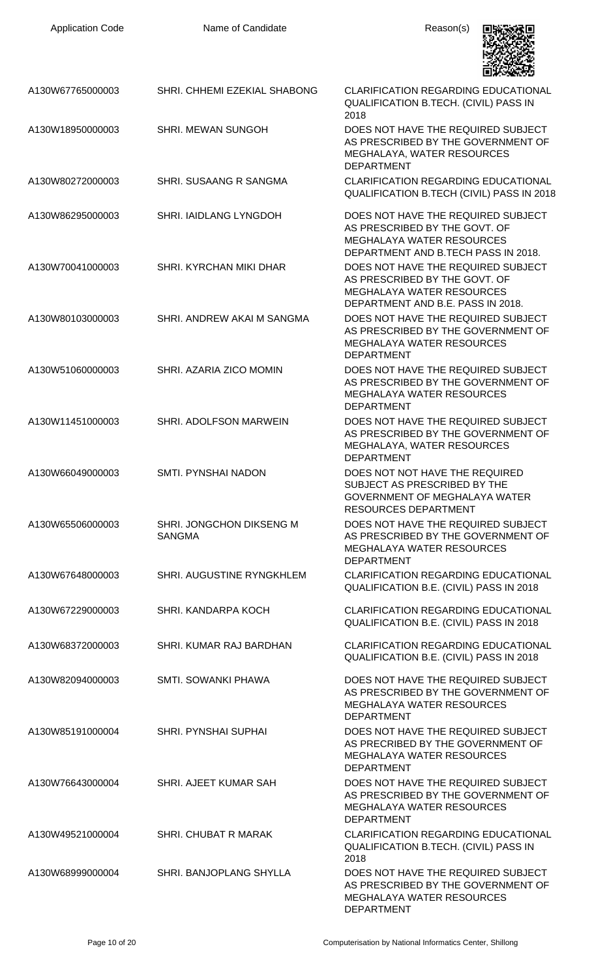| <b>Application Code</b> | Name of Candidate                         | Reason(s)                                                                                                                                      |
|-------------------------|-------------------------------------------|------------------------------------------------------------------------------------------------------------------------------------------------|
| A130W67765000003        | SHRI. CHHEMI EZEKIAL SHABONG              | <b>CLARIFICATION REGARDING EDUCATIONAL</b><br><b>QUALIFICATION B.TECH. (CIVIL) PASS IN</b><br>2018                                             |
| A130W18950000003        | <b>SHRI. MEWAN SUNGOH</b>                 | DOES NOT HAVE THE REQUIRED SUBJECT<br>AS PRESCRIBED BY THE GOVERNMENT OF<br>MEGHALAYA, WATER RESOURCES<br><b>DEPARTMENT</b>                    |
| A130W80272000003        | SHRI. SUSAANG R SANGMA                    | <b>CLARIFICATION REGARDING EDUCATIONAL</b><br>QUALIFICATION B.TECH (CIVIL) PASS IN 2018                                                        |
| A130W86295000003        | SHRI. IAIDLANG LYNGDOH                    | DOES NOT HAVE THE REQUIRED SUBJECT<br>AS PRESCRIBED BY THE GOVT. OF<br><b>MEGHALAYA WATER RESOURCES</b><br>DEPARTMENT AND B.TECH PASS IN 2018. |
| A130W70041000003        | SHRI, KYRCHAN MIKI DHAR                   | DOES NOT HAVE THE REQUIRED SUBJECT<br>AS PRESCRIBED BY THE GOVT. OF<br><b>MEGHALAYA WATER RESOURCES</b><br>DEPARTMENT AND B.E. PASS IN 2018.   |
| A130W80103000003        | SHRI. ANDREW AKAI M SANGMA                | DOES NOT HAVE THE REQUIRED SUBJECT<br>AS PRESCRIBED BY THE GOVERNMENT OF<br><b>MEGHALAYA WATER RESOURCES</b><br><b>DEPARTMENT</b>              |
| A130W51060000003        | SHRI. AZARIA ZICO MOMIN                   | DOES NOT HAVE THE REQUIRED SUBJECT<br>AS PRESCRIBED BY THE GOVERNMENT OF<br><b>MEGHALAYA WATER RESOURCES</b><br><b>DEPARTMENT</b>              |
| A130W11451000003        | <b>SHRI. ADOLFSON MARWEIN</b>             | DOES NOT HAVE THE REQUIRED SUBJECT<br>AS PRESCRIBED BY THE GOVERNMENT OF<br>MEGHALAYA, WATER RESOURCES<br><b>DEPARTMENT</b>                    |
| A130W66049000003        | <b>SMTI. PYNSHAI NADON</b>                | DOES NOT NOT HAVE THE REQUIRED<br>SUBJECT AS PRESCRIBED BY THE<br><b>GOVERNMENT OF MEGHALAYA WATER</b><br><b>RESOURCES DEPARTMENT</b>          |
| A130W65506000003        | SHRI. JONGCHON DIKSENG M<br><b>SANGMA</b> | DOES NOT HAVE THE REQUIRED SUBJECT<br>AS PRESCRIBED BY THE GOVERNMENT OF<br><b>MEGHALAYA WATER RESOURCES</b><br><b>DEPARTMENT</b>              |
| A130W67648000003        | SHRI. AUGUSTINE RYNGKHLEM                 | <b>CLARIFICATION REGARDING EDUCATIONAL</b><br>QUALIFICATION B.E. (CIVIL) PASS IN 2018                                                          |
| A130W67229000003        | SHRI. KANDARPA KOCH                       | <b>CLARIFICATION REGARDING EDUCATIONAL</b><br>QUALIFICATION B.E. (CIVIL) PASS IN 2018                                                          |
| A130W68372000003        | SHRI. KUMAR RAJ BARDHAN                   | <b>CLARIFICATION REGARDING EDUCATIONAL</b><br>QUALIFICATION B.E. (CIVIL) PASS IN 2018                                                          |
| A130W82094000003        | SMTI. SOWANKI PHAWA                       | DOES NOT HAVE THE REQUIRED SUBJECT<br>AS PRESCRIBED BY THE GOVERNMENT OF<br><b>MEGHALAYA WATER RESOURCES</b><br><b>DEPARTMENT</b>              |
| A130W85191000004        | SHRI. PYNSHAI SUPHAI                      | DOES NOT HAVE THE REQUIRED SUBJECT<br>AS PRECRIBED BY THE GOVERNMENT OF<br><b>MEGHALAYA WATER RESOURCES</b><br><b>DEPARTMENT</b>               |
| A130W76643000004        | SHRI. AJEET KUMAR SAH                     | DOES NOT HAVE THE REQUIRED SUBJECT<br>AS PRESCRIBED BY THE GOVERNMENT OF<br><b>MEGHALAYA WATER RESOURCES</b><br><b>DEPARTMENT</b>              |
| A130W49521000004        | <b>SHRI. CHUBAT R MARAK</b>               | <b>CLARIFICATION REGARDING EDUCATIONAL</b><br><b>QUALIFICATION B.TECH. (CIVIL) PASS IN</b><br>2018                                             |
| A130W68999000004        | SHRI. BANJOPLANG SHYLLA                   | DOES NOT HAVE THE REQUIRED SUBJECT<br>AS PRESCRIBED BY THE GOVERNMENT OF<br>MEGHALAYA WATER RESOURCES<br><b>DEPARTMENT</b>                     |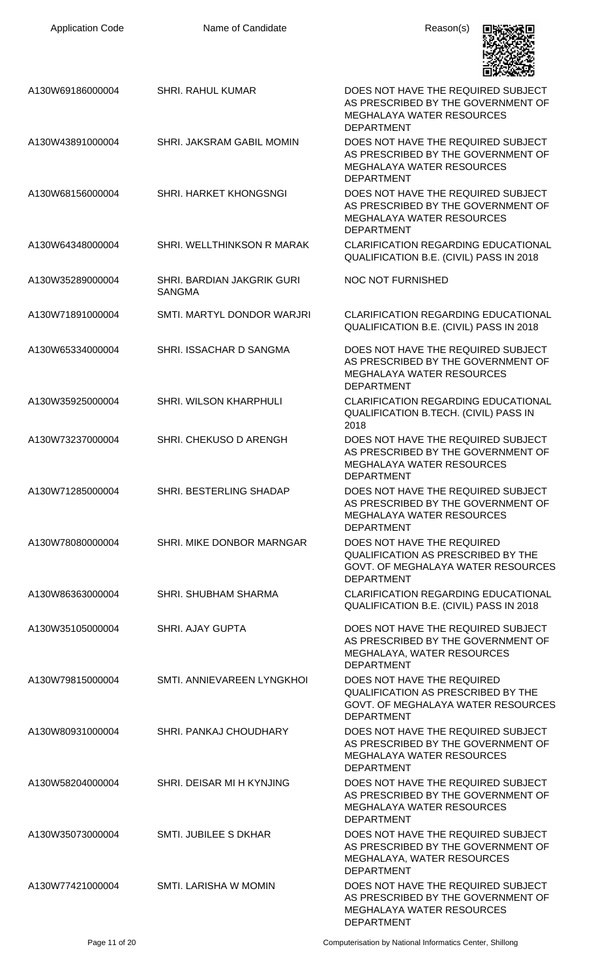| <b>Application Code</b> | Name of Candidate                                  | Reason(s)                                                                                                                          |
|-------------------------|----------------------------------------------------|------------------------------------------------------------------------------------------------------------------------------------|
| A130W69186000004        | <b>SHRI. RAHUL KUMAR</b>                           | DOES NOT HAVE THE REQUIRED SUBJECT<br>AS PRESCRIBED BY THE GOVERNMENT OF<br><b>MEGHALAYA WATER RESOURCES</b><br><b>DEPARTMENT</b>  |
| A130W43891000004        | SHRI. JAKSRAM GABIL MOMIN                          | DOES NOT HAVE THE REQUIRED SUBJECT<br>AS PRESCRIBED BY THE GOVERNMENT OF<br><b>MEGHALAYA WATER RESOURCES</b><br><b>DEPARTMENT</b>  |
| A130W68156000004        | SHRI. HARKET KHONGSNGI                             | DOES NOT HAVE THE REQUIRED SUBJECT<br>AS PRESCRIBED BY THE GOVERNMENT OF<br><b>MEGHALAYA WATER RESOURCES</b><br><b>DEPARTMENT</b>  |
| A130W64348000004        | SHRI. WELLTHINKSON R MARAK                         | <b>CLARIFICATION REGARDING EDUCATIONAL</b><br>QUALIFICATION B.E. (CIVIL) PASS IN 2018                                              |
| A130W35289000004        | <b>SHRI. BARDIAN JAKGRIK GURI</b><br><b>SANGMA</b> | NOC NOT FURNISHED                                                                                                                  |
| A130W71891000004        | SMTI. MARTYL DONDOR WARJRI                         | <b>CLARIFICATION REGARDING EDUCATIONAL</b><br>QUALIFICATION B.E. (CIVIL) PASS IN 2018                                              |
| A130W65334000004        | SHRI. ISSACHAR D SANGMA                            | DOES NOT HAVE THE REQUIRED SUBJECT<br>AS PRESCRIBED BY THE GOVERNMENT OF<br><b>MEGHALAYA WATER RESOURCES</b><br><b>DEPARTMENT</b>  |
| A130W35925000004        | SHRI. WILSON KHARPHULI                             | <b>CLARIFICATION REGARDING EDUCATIONAL</b><br>QUALIFICATION B.TECH. (CIVIL) PASS IN<br>2018                                        |
| A130W73237000004        | SHRI. CHEKUSO D ARENGH                             | DOES NOT HAVE THE REQUIRED SUBJECT<br>AS PRESCRIBED BY THE GOVERNMENT OF<br>MEGHALAYA WATER RESOURCES<br><b>DEPARTMENT</b>         |
| A130W71285000004        | SHRI. BESTERLING SHADAP                            | DOES NOT HAVE THE REQUIRED SUBJECT<br>AS PRESCRIBED BY THE GOVERNMENT OF<br><b>MEGHALAYA WATER RESOURCES</b><br><b>DEPARTMENT</b>  |
| A130W78080000004        | SHRI. MIKE DONBOR MARNGAR                          | DOES NOT HAVE THE REQUIRED<br><b>QUALIFICATION AS PRESCRIBED BY THE</b><br>GOVT. OF MEGHALAYA WATER RESOURCES<br><b>DEPARTMENT</b> |
| A130W86363000004        | SHRI. SHUBHAM SHARMA                               | <b>CLARIFICATION REGARDING EDUCATIONAL</b><br>QUALIFICATION B.E. (CIVIL) PASS IN 2018                                              |
| A130W35105000004        | <b>SHRI. AJAY GUPTA</b>                            | DOES NOT HAVE THE REQUIRED SUBJECT<br>AS PRESCRIBED BY THE GOVERNMENT OF<br>MEGHALAYA, WATER RESOURCES<br><b>DEPARTMENT</b>        |
| A130W79815000004        | SMTI. ANNIEVAREEN LYNGKHOI                         | DOES NOT HAVE THE REQUIRED<br><b>QUALIFICATION AS PRESCRIBED BY THE</b><br>GOVT. OF MEGHALAYA WATER RESOURCES<br><b>DEPARTMENT</b> |
| A130W80931000004        | SHRI. PANKAJ CHOUDHARY                             | DOES NOT HAVE THE REQUIRED SUBJECT<br>AS PRESCRIBED BY THE GOVERNMENT OF<br><b>MEGHALAYA WATER RESOURCES</b><br><b>DEPARTMENT</b>  |
| A130W58204000004        | SHRI. DEISAR MI H KYNJING                          | DOES NOT HAVE THE REQUIRED SUBJECT<br>AS PRESCRIBED BY THE GOVERNMENT OF<br><b>MEGHALAYA WATER RESOURCES</b><br><b>DEPARTMENT</b>  |
| A130W35073000004        | <b>SMTI. JUBILEE S DKHAR</b>                       | DOES NOT HAVE THE REQUIRED SUBJECT<br>AS PRESCRIBED BY THE GOVERNMENT OF<br>MEGHALAYA, WATER RESOURCES<br><b>DEPARTMENT</b>        |
| A130W77421000004        | SMTI. LARISHA W MOMIN                              | DOES NOT HAVE THE REQUIRED SUBJECT<br>AS PRESCRIBED BY THE GOVERNMENT OF<br><b>MEGHALAYA WATER RESOURCES</b><br><b>DEPARTMENT</b>  |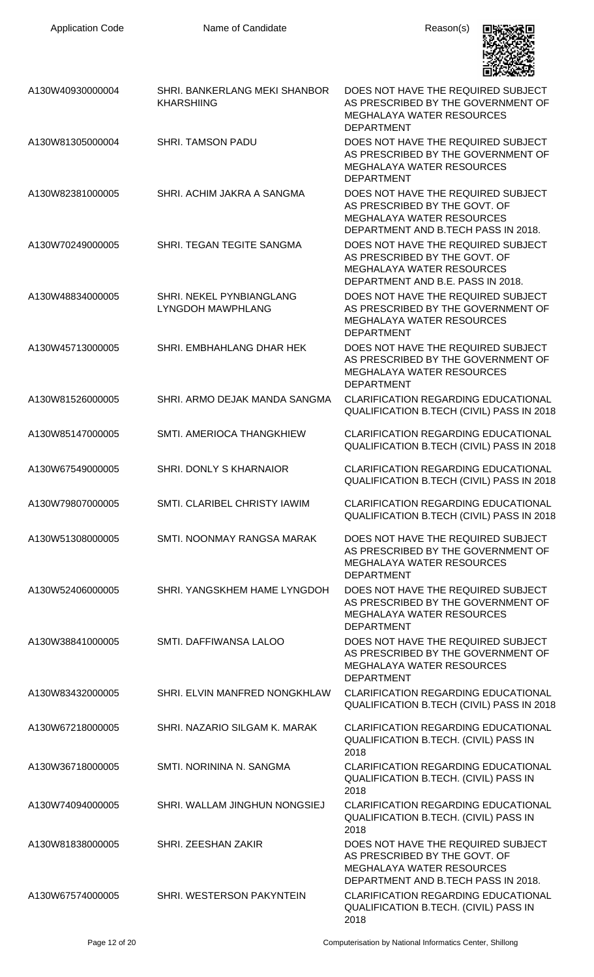

| A130W40930000004 | <b>SHRI. BANKERLANG MEKI SHANBOR</b><br><b>KHARSHIING</b>   | DOES NOT HAVE THE REQUIRED SUBJECT<br>AS PRESCRIBED BY THE GOVERNMENT OF<br><b>MEGHALAYA WATER RESOURCES</b><br><b>DEPARTMENT</b>              |
|------------------|-------------------------------------------------------------|------------------------------------------------------------------------------------------------------------------------------------------------|
| A130W81305000004 | <b>SHRI. TAMSON PADU</b>                                    | DOES NOT HAVE THE REQUIRED SUBJECT<br>AS PRESCRIBED BY THE GOVERNMENT OF<br><b>MEGHALAYA WATER RESOURCES</b><br><b>DEPARTMENT</b>              |
| A130W82381000005 | SHRI. ACHIM JAKRA A SANGMA                                  | DOES NOT HAVE THE REQUIRED SUBJECT<br>AS PRESCRIBED BY THE GOVT. OF<br><b>MEGHALAYA WATER RESOURCES</b><br>DEPARTMENT AND B.TECH PASS IN 2018. |
| A130W70249000005 | SHRI. TEGAN TEGITE SANGMA                                   | DOES NOT HAVE THE REQUIRED SUBJECT<br>AS PRESCRIBED BY THE GOVT. OF<br><b>MEGHALAYA WATER RESOURCES</b><br>DEPARTMENT AND B.E. PASS IN 2018.   |
| A130W48834000005 | <b>SHRI. NEKEL PYNBIANGLANG</b><br><b>LYNGDOH MAWPHLANG</b> | DOES NOT HAVE THE REQUIRED SUBJECT<br>AS PRESCRIBED BY THE GOVERNMENT OF<br><b>MEGHALAYA WATER RESOURCES</b><br><b>DEPARTMENT</b>              |
| A130W45713000005 | SHRI. EMBHAHLANG DHAR HEK                                   | DOES NOT HAVE THE REQUIRED SUBJECT<br>AS PRESCRIBED BY THE GOVERNMENT OF<br><b>MEGHALAYA WATER RESOURCES</b><br><b>DEPARTMENT</b>              |
| A130W81526000005 | SHRI. ARMO DEJAK MANDA SANGMA                               | <b>CLARIFICATION REGARDING EDUCATIONAL</b><br>QUALIFICATION B.TECH (CIVIL) PASS IN 2018                                                        |
| A130W85147000005 | SMTI. AMERIOCA THANGKHIEW                                   | <b>CLARIFICATION REGARDING EDUCATIONAL</b><br>QUALIFICATION B.TECH (CIVIL) PASS IN 2018                                                        |
| A130W67549000005 | SHRI. DONLY S KHARNAIOR                                     | <b>CLARIFICATION REGARDING EDUCATIONAL</b><br><b>QUALIFICATION B.TECH (CIVIL) PASS IN 2018</b>                                                 |
| A130W79807000005 | SMTI. CLARIBEL CHRISTY IAWIM                                | CLARIFICATION REGARDING EDUCATIONAL<br>QUALIFICATION B.TECH (CIVIL) PASS IN 2018                                                               |
| A130W51308000005 | SMTI. NOONMAY RANGSA MARAK                                  | DOES NOT HAVE THE REQUIRED SUBJECT<br>AS PRESCRIBED BY THE GOVERNMENT OF<br><b>MEGHALAYA WATER RESOURCES</b><br><b>DEPARTMENT</b>              |
| A130W52406000005 | SHRI. YANGSKHEM HAME LYNGDOH                                | DOES NOT HAVE THE REQUIRED SUBJECT<br>AS PRESCRIBED BY THE GOVERNMENT OF<br><b>MEGHALAYA WATER RESOURCES</b><br><b>DEPARTMENT</b>              |
| A130W38841000005 | SMTI. DAFFIWANSA LALOO                                      | DOES NOT HAVE THE REQUIRED SUBJECT<br>AS PRESCRIBED BY THE GOVERNMENT OF<br><b>MEGHALAYA WATER RESOURCES</b><br><b>DEPARTMENT</b>              |
| A130W83432000005 | SHRI. ELVIN MANFRED NONGKHLAW                               | <b>CLARIFICATION REGARDING EDUCATIONAL</b><br>QUALIFICATION B.TECH (CIVIL) PASS IN 2018                                                        |
| A130W67218000005 | SHRI. NAZARIO SILGAM K. MARAK                               | <b>CLARIFICATION REGARDING EDUCATIONAL</b><br>QUALIFICATION B.TECH. (CIVIL) PASS IN<br>2018                                                    |
| A130W36718000005 | SMTI. NORININA N. SANGMA                                    | <b>CLARIFICATION REGARDING EDUCATIONAL</b><br>QUALIFICATION B.TECH. (CIVIL) PASS IN<br>2018                                                    |
| A130W74094000005 | SHRI. WALLAM JINGHUN NONGSIEJ                               | <b>CLARIFICATION REGARDING EDUCATIONAL</b><br><b>QUALIFICATION B.TECH. (CIVIL) PASS IN</b><br>2018                                             |
| A130W81838000005 | SHRI. ZEESHAN ZAKIR                                         | DOES NOT HAVE THE REQUIRED SUBJECT<br>AS PRESCRIBED BY THE GOVT. OF<br><b>MEGHALAYA WATER RESOURCES</b><br>DEPARTMENT AND B.TECH PASS IN 2018. |
| A130W67574000005 | SHRI. WESTERSON PAKYNTEIN                                   | <b>CLARIFICATION REGARDING EDUCATIONAL</b><br>QUALIFICATION B.TECH. (CIVIL) PASS IN<br>2018                                                    |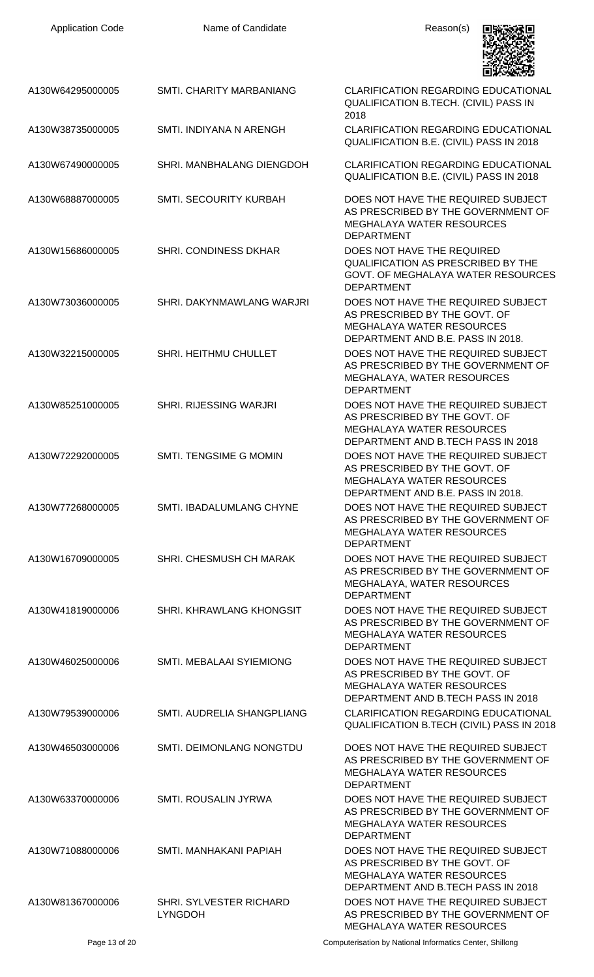| <b>Application Code</b> | Name of Candidate                         | Reason(s)                                                                                                                                     |
|-------------------------|-------------------------------------------|-----------------------------------------------------------------------------------------------------------------------------------------------|
| A130W64295000005        | <b>SMTI, CHARITY MARBANIANG</b>           | <b>CLARIFICATION REGARDING EDUCATIONAL</b><br>QUALIFICATION B.TECH. (CIVIL) PASS IN<br>2018                                                   |
| A130W38735000005        | SMTI. INDIYANA N ARENGH                   | <b>CLARIFICATION REGARDING EDUCATIONAL</b><br>QUALIFICATION B.E. (CIVIL) PASS IN 2018                                                         |
| A130W67490000005        | SHRI. MANBHALANG DIENGDOH                 | <b>CLARIFICATION REGARDING EDUCATIONAL</b><br>QUALIFICATION B.E. (CIVIL) PASS IN 2018                                                         |
| A130W68887000005        | SMTI. SECOURITY KURBAH                    | DOES NOT HAVE THE REQUIRED SUBJECT<br>AS PRESCRIBED BY THE GOVERNMENT OF<br><b>MEGHALAYA WATER RESOURCES</b><br><b>DEPARTMENT</b>             |
| A130W15686000005        | <b>SHRI. CONDINESS DKHAR</b>              | DOES NOT HAVE THE REQUIRED<br><b>QUALIFICATION AS PRESCRIBED BY THE</b><br>GOVT. OF MEGHALAYA WATER RESOURCES<br><b>DEPARTMENT</b>            |
| A130W73036000005        | SHRI. DAKYNMAWLANG WARJRI                 | DOES NOT HAVE THE REQUIRED SUBJECT<br>AS PRESCRIBED BY THE GOVT. OF<br><b>MEGHALAYA WATER RESOURCES</b><br>DEPARTMENT AND B.E. PASS IN 2018.  |
| A130W32215000005        | SHRI. HEITHMU CHULLET                     | DOES NOT HAVE THE REQUIRED SUBJECT<br>AS PRESCRIBED BY THE GOVERNMENT OF<br>MEGHALAYA, WATER RESOURCES<br><b>DEPARTMENT</b>                   |
| A130W85251000005        | SHRI. RIJESSING WARJRI                    | DOES NOT HAVE THE REQUIRED SUBJECT<br>AS PRESCRIBED BY THE GOVT. OF<br><b>MEGHALAYA WATER RESOURCES</b><br>DEPARTMENT AND B.TECH PASS IN 2018 |
| A130W72292000005        | <b>SMTI. TENGSIME G MOMIN</b>             | DOES NOT HAVE THE REQUIRED SUBJECT<br>AS PRESCRIBED BY THE GOVT. OF<br><b>MEGHALAYA WATER RESOURCES</b><br>DEPARTMENT AND B.E. PASS IN 2018.  |
| A130W77268000005        | SMTI. IBADALUMLANG CHYNE                  | DOES NOT HAVE THE REQUIRED SUBJECT<br>AS PRESCRIBED BY THE GOVERNMENT OF<br><b>MEGHALAYA WATER RESOURCES</b><br><b>DEPARTMENT</b>             |
| A130W16709000005        | SHRI. CHESMUSH CH MARAK                   | DOES NOT HAVE THE REQUIRED SUBJECT<br>AS PRESCRIBED BY THE GOVERNMENT OF<br>MEGHALAYA, WATER RESOURCES<br><b>DEPARTMENT</b>                   |
| A130W41819000006        | SHRI. KHRAWLANG KHONGSIT                  | DOES NOT HAVE THE REQUIRED SUBJECT<br>AS PRESCRIBED BY THE GOVERNMENT OF<br><b>MEGHALAYA WATER RESOURCES</b><br><b>DEPARTMENT</b>             |
| A130W46025000006        | SMTI. MEBALAAI SYIEMIONG                  | DOES NOT HAVE THE REQUIRED SUBJECT<br>AS PRESCRIBED BY THE GOVT. OF<br><b>MEGHALAYA WATER RESOURCES</b><br>DEPARTMENT AND B.TECH PASS IN 2018 |
| A130W79539000006        | SMTI. AUDRELIA SHANGPLIANG                | <b>CLARIFICATION REGARDING EDUCATIONAL</b><br>QUALIFICATION B.TECH (CIVIL) PASS IN 2018                                                       |
| A130W46503000006        | SMTI. DEIMONLANG NONGTDU                  | DOES NOT HAVE THE REQUIRED SUBJECT<br>AS PRESCRIBED BY THE GOVERNMENT OF<br><b>MEGHALAYA WATER RESOURCES</b><br><b>DEPARTMENT</b>             |
| A130W63370000006        | <b>SMTI. ROUSALIN JYRWA</b>               | DOES NOT HAVE THE REQUIRED SUBJECT<br>AS PRESCRIBED BY THE GOVERNMENT OF<br><b>MEGHALAYA WATER RESOURCES</b><br><b>DEPARTMENT</b>             |
| A130W71088000006        | SMTI. MANHAKANI PAPIAH                    | DOES NOT HAVE THE REQUIRED SUBJECT<br>AS PRESCRIBED BY THE GOVT. OF<br><b>MEGHALAYA WATER RESOURCES</b><br>DEPARTMENT AND B.TECH PASS IN 2018 |
| A130W81367000006        | SHRI. SYLVESTER RICHARD<br><b>LYNGDOH</b> | DOES NOT HAVE THE REQUIRED SUBJECT<br>AS PRESCRIBED BY THE GOVERNMENT OF<br>MEGHALAYA WATER RESOURCES                                         |

Page 13 of 20 **Computerisation by National Informatics Center, Shillong**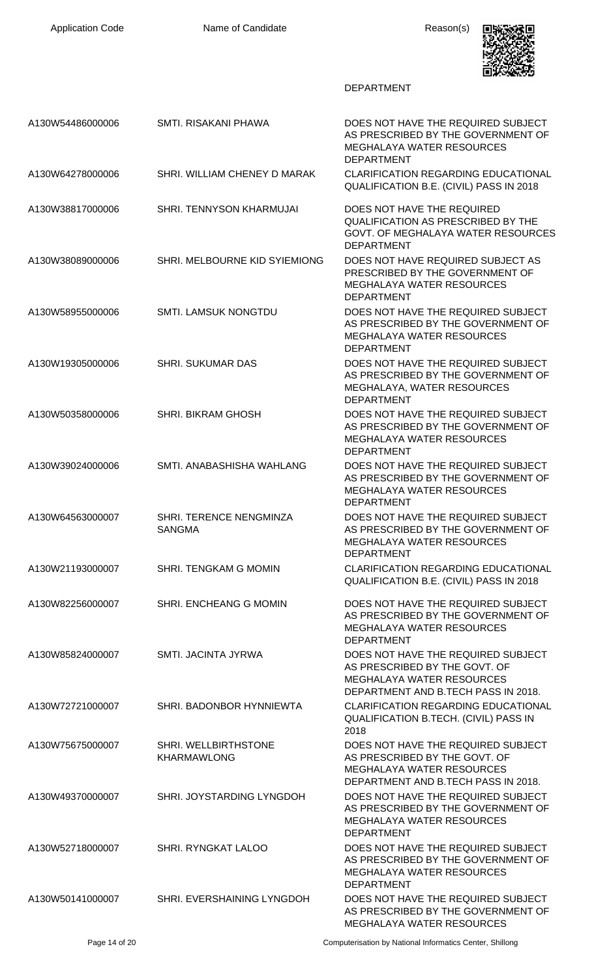

| A130W54486000006 | SMTI. RISAKANI PHAWA                       | DOES NOT HAVE THE REQUIRED SUBJECT<br>AS PRESCRIBED BY THE GOVERNMENT OF<br><b>MEGHALAYA WATER RESOURCES</b>                                   |
|------------------|--------------------------------------------|------------------------------------------------------------------------------------------------------------------------------------------------|
| A130W64278000006 | SHRI. WILLIAM CHENEY D MARAK               | <b>DEPARTMENT</b><br><b>CLARIFICATION REGARDING EDUCATIONAL</b><br>QUALIFICATION B.E. (CIVIL) PASS IN 2018                                     |
| A130W38817000006 | SHRI. TENNYSON KHARMUJAI                   | DOES NOT HAVE THE REQUIRED<br><b>QUALIFICATION AS PRESCRIBED BY THE</b><br>GOVT. OF MEGHALAYA WATER RESOURCES<br><b>DEPARTMENT</b>             |
| A130W38089000006 | SHRI. MELBOURNE KID SYIEMIONG              | DOES NOT HAVE REQUIRED SUBJECT AS<br>PRESCRIBED BY THE GOVERNMENT OF<br><b>MEGHALAYA WATER RESOURCES</b><br><b>DEPARTMENT</b>                  |
| A130W58955000006 | <b>SMTI. LAMSUK NONGTDU</b>                | DOES NOT HAVE THE REQUIRED SUBJECT<br>AS PRESCRIBED BY THE GOVERNMENT OF<br><b>MEGHALAYA WATER RESOURCES</b><br><b>DEPARTMENT</b>              |
| A130W19305000006 | <b>SHRI. SUKUMAR DAS</b>                   | DOES NOT HAVE THE REQUIRED SUBJECT<br>AS PRESCRIBED BY THE GOVERNMENT OF<br>MEGHALAYA, WATER RESOURCES<br><b>DEPARTMENT</b>                    |
| A130W50358000006 | <b>SHRI. BIKRAM GHOSH</b>                  | DOES NOT HAVE THE REQUIRED SUBJECT<br>AS PRESCRIBED BY THE GOVERNMENT OF<br><b>MEGHALAYA WATER RESOURCES</b><br><b>DEPARTMENT</b>              |
| A130W39024000006 | SMTI. ANABASHISHA WAHLANG                  | DOES NOT HAVE THE REQUIRED SUBJECT<br>AS PRESCRIBED BY THE GOVERNMENT OF<br><b>MEGHALAYA WATER RESOURCES</b><br><b>DEPARTMENT</b>              |
| A130W64563000007 | SHRI. TERENCE NENGMINZA<br><b>SANGMA</b>   | DOES NOT HAVE THE REQUIRED SUBJECT<br>AS PRESCRIBED BY THE GOVERNMENT OF<br>MEGHALAYA WATER RESOURCES<br><b>DEPARTMENT</b>                     |
| A130W21193000007 | SHRI. TENGKAM G MOMIN                      | <b>CLARIFICATION REGARDING EDUCATIONAL</b><br>QUALIFICATION B.E. (CIVIL) PASS IN 2018                                                          |
| A130W82256000007 | SHRI. ENCHEANG G MOMIN                     | DOES NOT HAVE THE REQUIRED SUBJECT<br>AS PRESCRIBED BY THE GOVERNMENT OF<br><b>MEGHALAYA WATER RESOURCES</b><br><b>DEPARTMENT</b>              |
| A130W85824000007 | <b>SMTI. JACINTA JYRWA</b>                 | DOES NOT HAVE THE REQUIRED SUBJECT<br>AS PRESCRIBED BY THE GOVT. OF<br><b>MEGHALAYA WATER RESOURCES</b><br>DEPARTMENT AND B.TECH PASS IN 2018. |
| A130W72721000007 | SHRI. BADONBOR HYNNIEWTA                   | <b>CLARIFICATION REGARDING EDUCATIONAL</b><br>QUALIFICATION B.TECH. (CIVIL) PASS IN<br>2018                                                    |
| A130W75675000007 | SHRI. WELLBIRTHSTONE<br><b>KHARMAWLONG</b> | DOES NOT HAVE THE REQUIRED SUBJECT<br>AS PRESCRIBED BY THE GOVT. OF<br><b>MEGHALAYA WATER RESOURCES</b><br>DEPARTMENT AND B.TECH PASS IN 2018. |
| A130W49370000007 | SHRI. JOYSTARDING LYNGDOH                  | DOES NOT HAVE THE REQUIRED SUBJECT<br>AS PRESCRIBED BY THE GOVERNMENT OF<br><b>MEGHALAYA WATER RESOURCES</b><br><b>DEPARTMENT</b>              |
| A130W52718000007 | SHRI. RYNGKAT LALOO                        | DOES NOT HAVE THE REQUIRED SUBJECT<br>AS PRESCRIBED BY THE GOVERNMENT OF<br><b>MEGHALAYA WATER RESOURCES</b><br><b>DEPARTMENT</b>              |
| A130W50141000007 | SHRI. EVERSHAINING LYNGDOH                 | DOES NOT HAVE THE REQUIRED SUBJECT<br>AS PRESCRIBED BY THE GOVERNMENT OF<br>MEGHALAYA WATER RESOURCES                                          |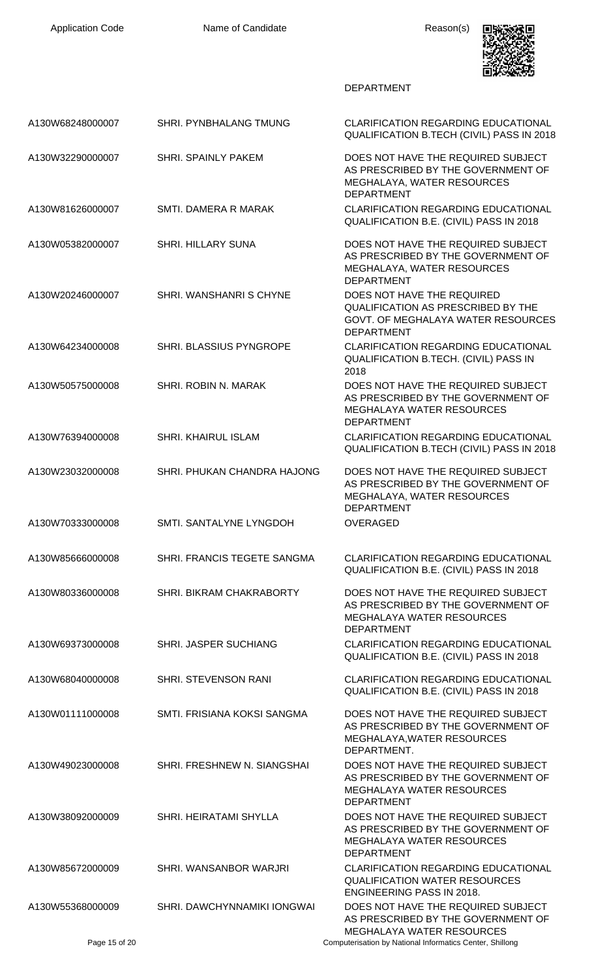

| A130W68248000007 | SHRI. PYNBHALANG TMUNG         | <b>CLARIFICATION REGARDING EDUCATIONAL</b><br>QUALIFICATION B.TECH (CIVIL) PASS IN 2018                                            |
|------------------|--------------------------------|------------------------------------------------------------------------------------------------------------------------------------|
| A130W32290000007 | <b>SHRI. SPAINLY PAKEM</b>     | DOES NOT HAVE THE REQUIRED SUBJECT<br>AS PRESCRIBED BY THE GOVERNMENT OF<br>MEGHALAYA, WATER RESOURCES<br><b>DEPARTMENT</b>        |
| A130W81626000007 | SMTI. DAMERA R MARAK           | <b>CLARIFICATION REGARDING EDUCATIONAL</b><br>QUALIFICATION B.E. (CIVIL) PASS IN 2018                                              |
| A130W05382000007 | <b>SHRI. HILLARY SUNA</b>      | DOES NOT HAVE THE REQUIRED SUBJECT<br>AS PRESCRIBED BY THE GOVERNMENT OF<br>MEGHALAYA, WATER RESOURCES<br><b>DEPARTMENT</b>        |
| A130W20246000007 | SHRI, WANSHANRI S CHYNE        | DOES NOT HAVE THE REQUIRED<br><b>QUALIFICATION AS PRESCRIBED BY THE</b><br>GOVT. OF MEGHALAYA WATER RESOURCES<br><b>DEPARTMENT</b> |
| A130W64234000008 | <b>SHRI. BLASSIUS PYNGROPE</b> | <b>CLARIFICATION REGARDING EDUCATIONAL</b><br>QUALIFICATION B.TECH. (CIVIL) PASS IN<br>2018                                        |
| A130W50575000008 | SHRI, ROBIN N. MARAK           | DOES NOT HAVE THE REQUIRED SUBJECT<br>AS PRESCRIBED BY THE GOVERNMENT OF<br><b>MEGHALAYA WATER RESOURCES</b><br><b>DEPARTMENT</b>  |
| A130W76394000008 | <b>SHRI. KHAIRUL ISLAM</b>     | <b>CLARIFICATION REGARDING EDUCATIONAL</b><br>QUALIFICATION B.TECH (CIVIL) PASS IN 2018                                            |
| A130W23032000008 | SHRI. PHUKAN CHANDRA HAJONG    | DOES NOT HAVE THE REQUIRED SUBJECT<br>AS PRESCRIBED BY THE GOVERNMENT OF<br>MEGHALAYA, WATER RESOURCES<br><b>DEPARTMENT</b>        |
| A130W70333000008 | SMTI. SANTALYNE LYNGDOH        | <b>OVERAGED</b>                                                                                                                    |
| A130W85666000008 | SHRI. FRANCIS TEGETE SANGMA    | <b>CLARIFICATION REGARDING EDUCATIONAL</b><br>QUALIFICATION B.E. (CIVIL) PASS IN 2018                                              |
| A130W80336000008 | SHRI. BIKRAM CHAKRABORTY       | DOES NOT HAVE THE REQUIRED SUBJECT<br>AS PRESCRIBED BY THE GOVERNMENT OF<br><b>MEGHALAYA WATER RESOURCES</b><br><b>DEPARTMENT</b>  |
| A130W69373000008 | <b>SHRI. JASPER SUCHIANG</b>   | <b>CLARIFICATION REGARDING EDUCATIONAL</b><br>QUALIFICATION B.E. (CIVIL) PASS IN 2018                                              |
| A130W68040000008 | <b>SHRI. STEVENSON RANI</b>    | <b>CLARIFICATION REGARDING EDUCATIONAL</b><br>QUALIFICATION B.E. (CIVIL) PASS IN 2018                                              |
| A130W01111000008 | SMTI. FRISIANA KOKSI SANGMA    | DOES NOT HAVE THE REQUIRED SUBJECT<br>AS PRESCRIBED BY THE GOVERNMENT OF<br>MEGHALAYA, WATER RESOURCES<br>DEPARTMENT.              |
| A130W49023000008 | SHRI. FRESHNEW N. SIANGSHAI    | DOES NOT HAVE THE REQUIRED SUBJECT<br>AS PRESCRIBED BY THE GOVERNMENT OF<br><b>MEGHALAYA WATER RESOURCES</b><br><b>DEPARTMENT</b>  |
| A130W38092000009 | <b>SHRI. HEIRATAMI SHYLLA</b>  | DOES NOT HAVE THE REQUIRED SUBJECT<br>AS PRESCRIBED BY THE GOVERNMENT OF<br><b>MEGHALAYA WATER RESOURCES</b><br><b>DEPARTMENT</b>  |
| A130W85672000009 | SHRI. WANSANBOR WARJRI         | <b>CLARIFICATION REGARDING EDUCATIONAL</b><br><b>QUALIFICATION WATER RESOURCES</b><br><b>ENGINEERING PASS IN 2018.</b>             |
| A130W55368000009 | SHRI. DAWCHYNNAMIKI IONGWAI    | DOES NOT HAVE THE REQUIRED SUBJECT<br>AS PRESCRIBED BY THE GOVERNMENT OF<br>MEGHALAYA WATER RESOURCES                              |
| Page 15 of 20    |                                | Computerisation by National Informatics Center, Shillong                                                                           |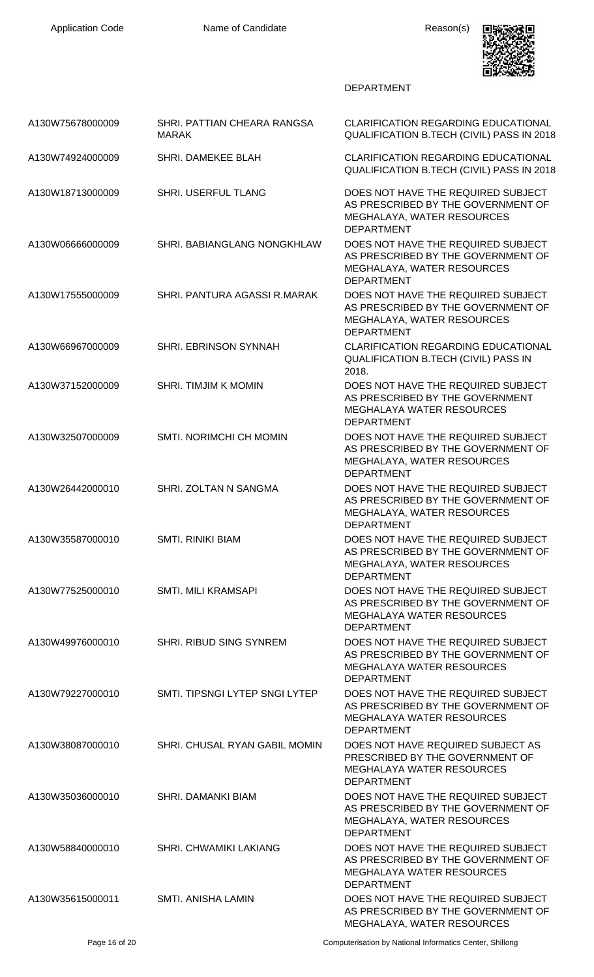

| A130W75678000009 | SHRI. PATTIAN CHEARA RANGSA<br><b>MARAK</b> | <b>CLARIFICATION REGARDING EDUCATIONAL</b><br>QUALIFICATION B.TECH (CIVIL) PASS IN 2018                                           |
|------------------|---------------------------------------------|-----------------------------------------------------------------------------------------------------------------------------------|
| A130W74924000009 | SHRI. DAMEKEE BLAH                          | <b>CLARIFICATION REGARDING EDUCATIONAL</b><br>QUALIFICATION B.TECH (CIVIL) PASS IN 2018                                           |
| A130W18713000009 | SHRI. USERFUL TLANG                         | DOES NOT HAVE THE REQUIRED SUBJECT<br>AS PRESCRIBED BY THE GOVERNMENT OF<br>MEGHALAYA, WATER RESOURCES<br><b>DEPARTMENT</b>       |
| A130W06666000009 | <b>SHRI. BABIANGLANG NONGKHLAW</b>          | DOES NOT HAVE THE REQUIRED SUBJECT<br>AS PRESCRIBED BY THE GOVERNMENT OF<br>MEGHALAYA, WATER RESOURCES<br><b>DEPARTMENT</b>       |
| A130W17555000009 | SHRI. PANTURA AGASSI R.MARAK                | DOES NOT HAVE THE REQUIRED SUBJECT<br>AS PRESCRIBED BY THE GOVERNMENT OF<br>MEGHALAYA, WATER RESOURCES<br><b>DEPARTMENT</b>       |
| A130W66967000009 | SHRI. EBRINSON SYNNAH                       | <b>CLARIFICATION REGARDING EDUCATIONAL</b><br>QUALIFICATION B.TECH (CIVIL) PASS IN<br>2018.                                       |
| A130W37152000009 | <b>SHRI. TIMJIM K MOMIN</b>                 | DOES NOT HAVE THE REQUIRED SUBJECT<br>AS PRESCRIBED BY THE GOVERNMENT<br><b>MEGHALAYA WATER RESOURCES</b><br><b>DEPARTMENT</b>    |
| A130W32507000009 | SMTI. NORIMCHI CH MOMIN                     | DOES NOT HAVE THE REQUIRED SUBJECT<br>AS PRESCRIBED BY THE GOVERNMENT OF<br>MEGHALAYA, WATER RESOURCES<br><b>DEPARTMENT</b>       |
| A130W26442000010 | SHRI. ZOLTAN N SANGMA                       | DOES NOT HAVE THE REQUIRED SUBJECT<br>AS PRESCRIBED BY THE GOVERNMENT OF<br>MEGHALAYA, WATER RESOURCES<br><b>DEPARTMENT</b>       |
| A130W35587000010 | <b>SMTI, RINIKI BIAM</b>                    | DOES NOT HAVE THE REQUIRED SUBJECT<br>AS PRESCRIBED BY THE GOVERNMENT OF<br>MEGHALAYA, WATER RESOURCES<br><b>DEPARTMENT</b>       |
| A130W77525000010 | SMTI. MILI KRAMSAPI                         | DOES NOT HAVE THE REQUIRED SUBJECT<br>AS PRESCRIBED BY THE GOVERNMENT OF<br><b>MEGHALAYA WATER RESOURCES</b><br><b>DEPARTMENT</b> |
| A130W49976000010 | SHRI. RIBUD SING SYNREM                     | DOES NOT HAVE THE REQUIRED SUBJECT<br>AS PRESCRIBED BY THE GOVERNMENT OF<br><b>MEGHALAYA WATER RESOURCES</b><br><b>DEPARTMENT</b> |
| A130W79227000010 | SMTI. TIPSNGI LYTEP SNGI LYTEP              | DOES NOT HAVE THE REQUIRED SUBJECT<br>AS PRESCRIBED BY THE GOVERNMENT OF<br><b>MEGHALAYA WATER RESOURCES</b><br><b>DEPARTMENT</b> |
| A130W38087000010 | SHRI. CHUSAL RYAN GABIL MOMIN               | DOES NOT HAVE REQUIRED SUBJECT AS<br>PRESCRIBED BY THE GOVERNMENT OF<br>MEGHALAYA WATER RESOURCES<br><b>DEPARTMENT</b>            |
| A130W35036000010 | <b>SHRI, DAMANKI BIAM</b>                   | DOES NOT HAVE THE REQUIRED SUBJECT<br>AS PRESCRIBED BY THE GOVERNMENT OF<br>MEGHALAYA, WATER RESOURCES<br><b>DEPARTMENT</b>       |
| A130W58840000010 | <b>SHRI. CHWAMIKI LAKIANG</b>               | DOES NOT HAVE THE REQUIRED SUBJECT<br>AS PRESCRIBED BY THE GOVERNMENT OF<br><b>MEGHALAYA WATER RESOURCES</b><br><b>DEPARTMENT</b> |
| A130W35615000011 | SMTI. ANISHA LAMIN                          | DOES NOT HAVE THE REQUIRED SUBJECT<br>AS PRESCRIBED BY THE GOVERNMENT OF<br>MEGHALAYA, WATER RESOURCES                            |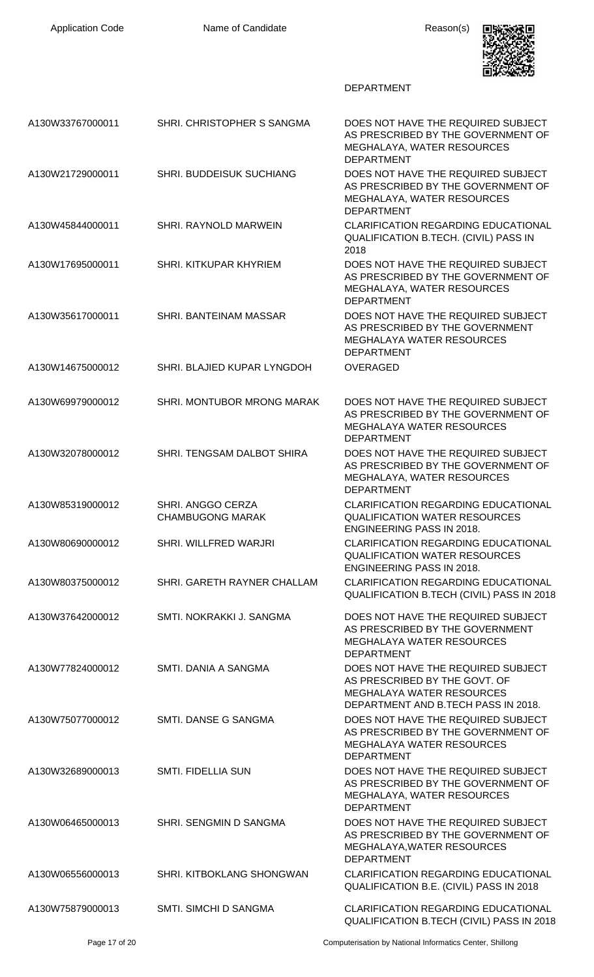

| A130W33767000011 | SHRI. CHRISTOPHER S SANGMA                   | DOES NOT HAVE THE REQUIRED SUBJECT<br>AS PRESCRIBED BY THE GOVERNMENT OF<br>MEGHALAYA, WATER RESOURCES<br><b>DEPARTMENT</b>                    |
|------------------|----------------------------------------------|------------------------------------------------------------------------------------------------------------------------------------------------|
| A130W21729000011 | SHRI. BUDDEISUK SUCHIANG                     | DOES NOT HAVE THE REQUIRED SUBJECT<br>AS PRESCRIBED BY THE GOVERNMENT OF<br>MEGHALAYA, WATER RESOURCES<br><b>DEPARTMENT</b>                    |
| A130W45844000011 | SHRI. RAYNOLD MARWEIN                        | <b>CLARIFICATION REGARDING EDUCATIONAL</b><br><b>QUALIFICATION B.TECH. (CIVIL) PASS IN</b><br>2018                                             |
| A130W17695000011 | SHRI. KITKUPAR KHYRIEM                       | DOES NOT HAVE THE REQUIRED SUBJECT<br>AS PRESCRIBED BY THE GOVERNMENT OF<br>MEGHALAYA, WATER RESOURCES<br><b>DEPARTMENT</b>                    |
| A130W35617000011 | SHRI. BANTEINAM MASSAR                       | DOES NOT HAVE THE REQUIRED SUBJECT<br>AS PRESCRIBED BY THE GOVERNMENT<br><b>MEGHALAYA WATER RESOURCES</b><br><b>DEPARTMENT</b>                 |
| A130W14675000012 | SHRI. BLAJIED KUPAR LYNGDOH                  | <b>OVERAGED</b>                                                                                                                                |
| A130W69979000012 | SHRI. MONTUBOR MRONG MARAK                   | DOES NOT HAVE THE REQUIRED SUBJECT<br>AS PRESCRIBED BY THE GOVERNMENT OF<br><b>MEGHALAYA WATER RESOURCES</b><br><b>DEPARTMENT</b>              |
| A130W32078000012 | SHRI. TENGSAM DALBOT SHIRA                   | DOES NOT HAVE THE REQUIRED SUBJECT<br>AS PRESCRIBED BY THE GOVERNMENT OF<br>MEGHALAYA, WATER RESOURCES<br><b>DEPARTMENT</b>                    |
| A130W85319000012 | SHRI. ANGGO CERZA<br><b>CHAMBUGONG MARAK</b> | <b>CLARIFICATION REGARDING EDUCATIONAL</b><br><b>QUALIFICATION WATER RESOURCES</b><br><b>ENGINEERING PASS IN 2018.</b>                         |
| A130W80690000012 | SHRI. WILLFRED WARJRI                        | CLARIFICATION REGARDING EDUCATIONAL<br><b>QUALIFICATION WATER RESOURCES</b><br><b>ENGINEERING PASS IN 2018.</b>                                |
| A130W80375000012 | SHRI. GARETH RAYNER CHALLAM                  | CLARIFICATION REGARDING EDUCATIONAL<br>QUALIFICATION B.TECH (CIVIL) PASS IN 2018                                                               |
| A130W37642000012 | SMTI. NOKRAKKI J. SANGMA                     | DOES NOT HAVE THE REQUIRED SUBJECT<br>AS PRESCRIBED BY THE GOVERNMENT<br><b>MEGHALAYA WATER RESOURCES</b><br><b>DEPARTMENT</b>                 |
| A130W77824000012 | SMTI. DANIA A SANGMA                         | DOES NOT HAVE THE REQUIRED SUBJECT<br>AS PRESCRIBED BY THE GOVT. OF<br><b>MEGHALAYA WATER RESOURCES</b><br>DEPARTMENT AND B.TECH PASS IN 2018. |
| A130W75077000012 | SMTI. DANSE G SANGMA                         | DOES NOT HAVE THE REQUIRED SUBJECT<br>AS PRESCRIBED BY THE GOVERNMENT OF<br><b>MEGHALAYA WATER RESOURCES</b><br><b>DEPARTMENT</b>              |
| A130W32689000013 | <b>SMTI. FIDELLIA SUN</b>                    | DOES NOT HAVE THE REQUIRED SUBJECT<br>AS PRESCRIBED BY THE GOVERNMENT OF<br>MEGHALAYA, WATER RESOURCES<br><b>DEPARTMENT</b>                    |
| A130W06465000013 | SHRI. SENGMIN D SANGMA                       | DOES NOT HAVE THE REQUIRED SUBJECT<br>AS PRESCRIBED BY THE GOVERNMENT OF<br>MEGHALAYA, WATER RESOURCES<br><b>DEPARTMENT</b>                    |
| A130W06556000013 | SHRI. KITBOKLANG SHONGWAN                    | <b>CLARIFICATION REGARDING EDUCATIONAL</b><br>QUALIFICATION B.E. (CIVIL) PASS IN 2018                                                          |
| A130W75879000013 | SMTI. SIMCHI D SANGMA                        | <b>CLARIFICATION REGARDING EDUCATIONAL</b><br>QUALIFICATION B.TECH (CIVIL) PASS IN 2018                                                        |
|                  |                                              |                                                                                                                                                |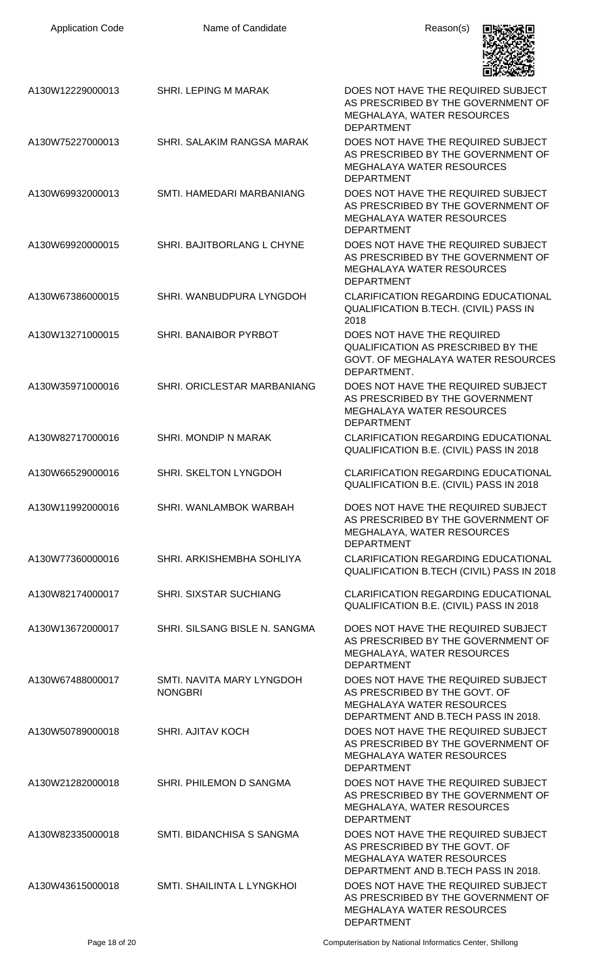| <b>Application Code</b> | Name of Candidate                           | Reason(s)                                                                                                                                      |
|-------------------------|---------------------------------------------|------------------------------------------------------------------------------------------------------------------------------------------------|
| A130W12229000013        | SHRI. LEPING M MARAK                        | DOES NOT HAVE THE REQUIRED SUBJECT<br>AS PRESCRIBED BY THE GOVERNMENT OF<br>MEGHALAYA, WATER RESOURCES<br><b>DEPARTMENT</b>                    |
| A130W75227000013        | SHRI. SALAKIM RANGSA MARAK                  | DOES NOT HAVE THE REQUIRED SUBJECT<br>AS PRESCRIBED BY THE GOVERNMENT OF<br><b>MEGHALAYA WATER RESOURCES</b><br><b>DEPARTMENT</b>              |
| A130W69932000013        | SMTI. HAMEDARI MARBANIANG                   | DOES NOT HAVE THE REQUIRED SUBJECT<br>AS PRESCRIBED BY THE GOVERNMENT OF<br><b>MEGHALAYA WATER RESOURCES</b><br><b>DEPARTMENT</b>              |
| A130W69920000015        | SHRI. BAJITBORLANG L CHYNE                  | DOES NOT HAVE THE REQUIRED SUBJECT<br>AS PRESCRIBED BY THE GOVERNMENT OF<br><b>MEGHALAYA WATER RESOURCES</b><br><b>DEPARTMENT</b>              |
| A130W67386000015        | SHRI. WANBUDPURA LYNGDOH                    | <b>CLARIFICATION REGARDING EDUCATIONAL</b><br>QUALIFICATION B.TECH. (CIVIL) PASS IN<br>2018                                                    |
| A130W13271000015        | SHRI. BANAIBOR PYRBOT                       | DOES NOT HAVE THE REQUIRED<br>QUALIFICATION AS PRESCRIBED BY THE<br>GOVT. OF MEGHALAYA WATER RESOURCES<br>DEPARTMENT.                          |
| A130W35971000016        | SHRI. ORICLESTAR MARBANIANG                 | DOES NOT HAVE THE REQUIRED SUBJECT<br>AS PRESCRIBED BY THE GOVERNMENT<br>MEGHALAYA WATER RESOURCES<br><b>DEPARTMENT</b>                        |
| A130W82717000016        | SHRI. MONDIP N MARAK                        | <b>CLARIFICATION REGARDING EDUCATIONAL</b><br>QUALIFICATION B.E. (CIVIL) PASS IN 2018                                                          |
| A130W66529000016        | SHRI. SKELTON LYNGDOH                       | <b>CLARIFICATION REGARDING EDUCATIONAL</b><br>QUALIFICATION B.E. (CIVIL) PASS IN 2018                                                          |
| A130W11992000016        | SHRI. WANLAMBOK WARBAH                      | DOES NOT HAVE THE REQUIRED SUBJECT<br>AS PRESCRIBED BY THE GOVERNMENT OF<br>MEGHALAYA, WATER RESOURCES<br><b>DEPARTMENT</b>                    |
| A130W77360000016        | SHRI. ARKISHEMBHA SOHLIYA                   | <b>CLARIFICATION REGARDING EDUCATIONAL</b><br>QUALIFICATION B.TECH (CIVIL) PASS IN 2018                                                        |
| A130W82174000017        | <b>SHRI. SIXSTAR SUCHIANG</b>               | <b>CLARIFICATION REGARDING EDUCATIONAL</b><br>QUALIFICATION B.E. (CIVIL) PASS IN 2018                                                          |
| A130W13672000017        | SHRI. SILSANG BISLE N. SANGMA               | DOES NOT HAVE THE REQUIRED SUBJECT<br>AS PRESCRIBED BY THE GOVERNMENT OF<br>MEGHALAYA, WATER RESOURCES<br><b>DEPARTMENT</b>                    |
| A130W67488000017        | SMTI, NAVITA MARY LYNGDOH<br><b>NONGBRI</b> | DOES NOT HAVE THE REQUIRED SUBJECT<br>AS PRESCRIBED BY THE GOVT. OF<br><b>MEGHALAYA WATER RESOURCES</b><br>DEPARTMENT AND B.TECH PASS IN 2018. |
| A130W50789000018        | <b>SHRI. AJITAV KOCH</b>                    | DOES NOT HAVE THE REQUIRED SUBJECT<br>AS PRESCRIBED BY THE GOVERNMENT OF<br><b>MEGHALAYA WATER RESOURCES</b><br><b>DEPARTMENT</b>              |
| A130W21282000018        | SHRI. PHILEMON D SANGMA                     | DOES NOT HAVE THE REQUIRED SUBJECT<br>AS PRESCRIBED BY THE GOVERNMENT OF<br>MEGHALAYA, WATER RESOURCES<br><b>DEPARTMENT</b>                    |
| A130W82335000018        | SMTI. BIDANCHISA S SANGMA                   | DOES NOT HAVE THE REQUIRED SUBJECT<br>AS PRESCRIBED BY THE GOVT. OF<br><b>MEGHALAYA WATER RESOURCES</b><br>DEPARTMENT AND B.TECH PASS IN 2018. |
| A130W43615000018        | SMTI. SHAILINTA L LYNGKHOI                  | DOES NOT HAVE THE REQUIRED SUBJECT<br>AS PRESCRIBED BY THE GOVERNMENT OF<br><b>MEGHALAYA WATER RESOURCES</b><br><b>DEPARTMENT</b>              |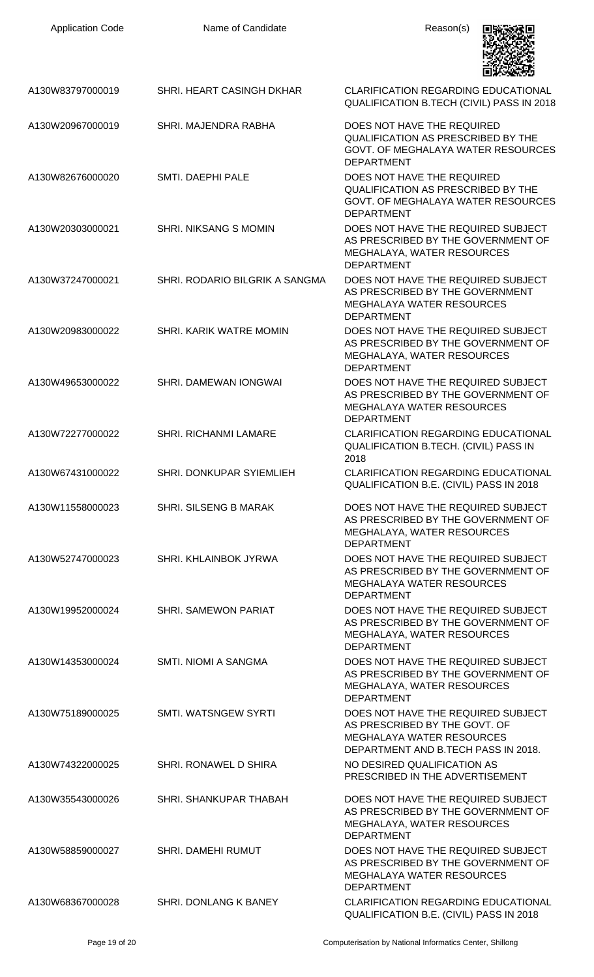| <b>Application Code</b> | Name of Candidate              | Reason(s)                                                                                                                                      |
|-------------------------|--------------------------------|------------------------------------------------------------------------------------------------------------------------------------------------|
| A130W83797000019        | SHRI. HEART CASINGH DKHAR      | <b>CLARIFICATION REGARDING EDUCATIONAL</b><br>QUALIFICATION B.TECH (CIVIL) PASS IN 2018                                                        |
| A130W20967000019        | SHRI. MAJENDRA RABHA           | DOES NOT HAVE THE REQUIRED<br><b>QUALIFICATION AS PRESCRIBED BY THE</b><br>GOVT. OF MEGHALAYA WATER RESOURCES<br><b>DEPARTMENT</b>             |
| A130W82676000020        | SMTI. DAEPHI PALE              | DOES NOT HAVE THE REQUIRED<br><b>QUALIFICATION AS PRESCRIBED BY THE</b><br>GOVT. OF MEGHALAYA WATER RESOURCES<br><b>DEPARTMENT</b>             |
| A130W20303000021        | <b>SHRI. NIKSANG S MOMIN</b>   | DOES NOT HAVE THE REQUIRED SUBJECT<br>AS PRESCRIBED BY THE GOVERNMENT OF<br>MEGHALAYA, WATER RESOURCES<br><b>DEPARTMENT</b>                    |
| A130W37247000021        | SHRI. RODARIO BILGRIK A SANGMA | DOES NOT HAVE THE REQUIRED SUBJECT<br>AS PRESCRIBED BY THE GOVERNMENT<br><b>MEGHALAYA WATER RESOURCES</b><br><b>DEPARTMENT</b>                 |
| A130W20983000022        | SHRI. KARIK WATRE MOMIN        | DOES NOT HAVE THE REQUIRED SUBJECT<br>AS PRESCRIBED BY THE GOVERNMENT OF<br>MEGHALAYA, WATER RESOURCES<br><b>DEPARTMENT</b>                    |
| A130W49653000022        | SHRI. DAMEWAN IONGWAI          | DOES NOT HAVE THE REQUIRED SUBJECT<br>AS PRESCRIBED BY THE GOVERNMENT OF<br><b>MEGHALAYA WATER RESOURCES</b><br><b>DEPARTMENT</b>              |
| A130W72277000022        | SHRI. RICHANMI LAMARE          | <b>CLARIFICATION REGARDING EDUCATIONAL</b><br>QUALIFICATION B.TECH. (CIVIL) PASS IN<br>2018                                                    |
| A130W67431000022        | SHRI. DONKUPAR SYIEMLIEH       | <b>CLARIFICATION REGARDING EDUCATIONAL</b><br>QUALIFICATION B.E. (CIVIL) PASS IN 2018                                                          |
| A130W11558000023        | <b>SHRI. SILSENG B MARAK</b>   | DOES NOT HAVE THE REQUIRED SUBJECT<br>AS PRESCRIBED BY THE GOVERNMENT OF<br>MEGHALAYA, WATER RESOURCES<br><b>DEPARTMENT</b>                    |
| A130W52747000023        | SHRI. KHLAINBOK JYRWA          | DOES NOT HAVE THE REQUIRED SUBJECT<br>AS PRESCRIBED BY THE GOVERNMENT OF<br><b>MEGHALAYA WATER RESOURCES</b><br><b>DEPARTMENT</b>              |
| A130W19952000024        | <b>SHRI. SAMEWON PARIAT</b>    | DOES NOT HAVE THE REQUIRED SUBJECT<br>AS PRESCRIBED BY THE GOVERNMENT OF<br>MEGHALAYA, WATER RESOURCES<br><b>DEPARTMENT</b>                    |
| A130W14353000024        | SMTI. NIOMI A SANGMA           | DOES NOT HAVE THE REQUIRED SUBJECT<br>AS PRESCRIBED BY THE GOVERNMENT OF<br>MEGHALAYA, WATER RESOURCES<br><b>DEPARTMENT</b>                    |
| A130W75189000025        | <b>SMTI. WATSNGEW SYRTI</b>    | DOES NOT HAVE THE REQUIRED SUBJECT<br>AS PRESCRIBED BY THE GOVT. OF<br><b>MEGHALAYA WATER RESOURCES</b><br>DEPARTMENT AND B.TECH PASS IN 2018. |
| A130W74322000025        | SHRI. RONAWEL D SHIRA          | NO DESIRED QUALIFICATION AS<br>PRESCRIBED IN THE ADVERTISEMENT                                                                                 |
| A130W35543000026        | SHRI. SHANKUPAR THABAH         | DOES NOT HAVE THE REQUIRED SUBJECT<br>AS PRESCRIBED BY THE GOVERNMENT OF<br>MEGHALAYA, WATER RESOURCES<br><b>DEPARTMENT</b>                    |
| A130W58859000027        | <b>SHRI. DAMEHI RUMUT</b>      | DOES NOT HAVE THE REQUIRED SUBJECT<br>AS PRESCRIBED BY THE GOVERNMENT OF<br><b>MEGHALAYA WATER RESOURCES</b><br><b>DEPARTMENT</b>              |
| A130W68367000028        | SHRI. DONLANG K BANEY          | <b>CLARIFICATION REGARDING EDUCATIONAL</b><br>QUALIFICATION B.E. (CIVIL) PASS IN 2018                                                          |